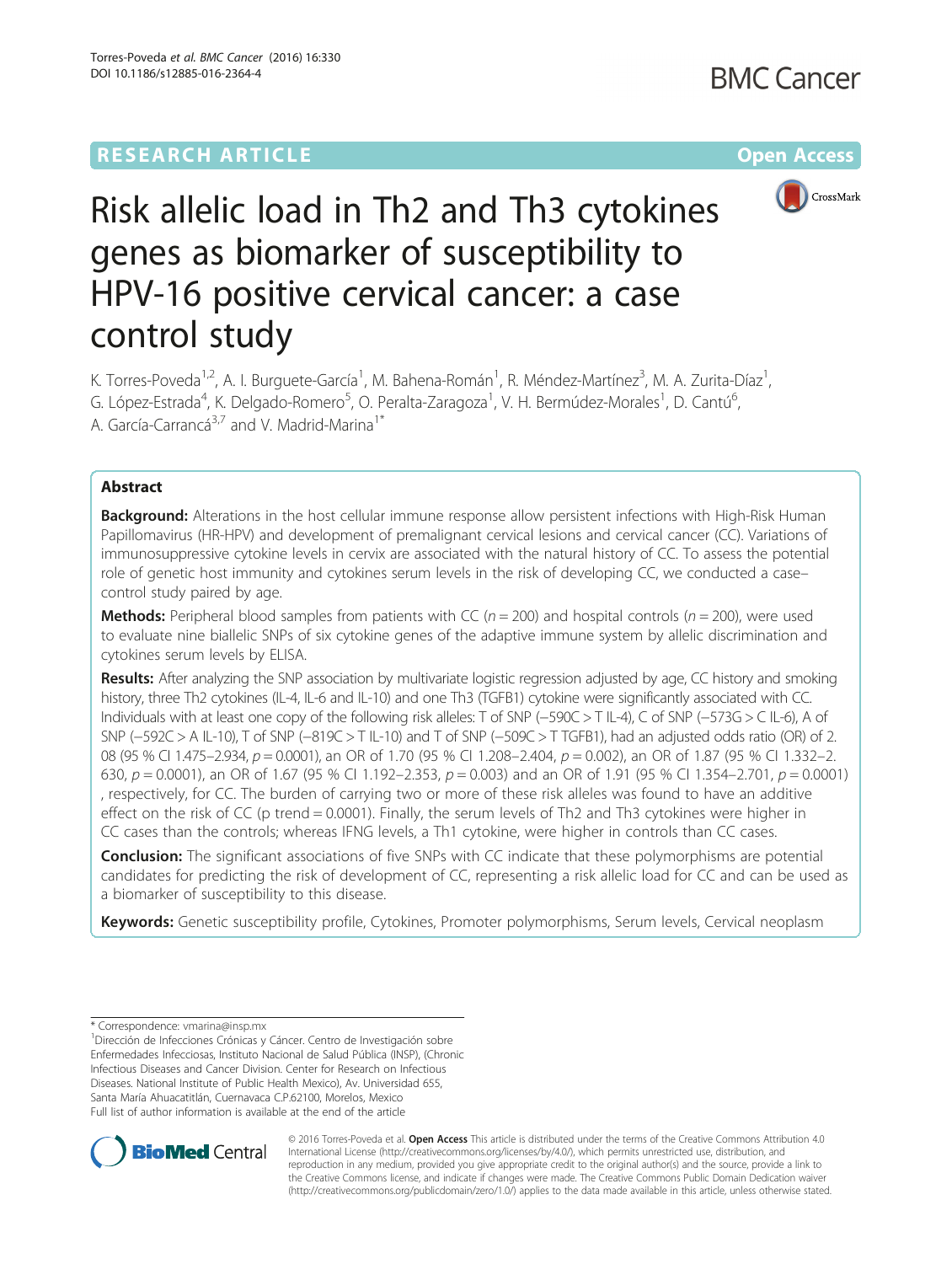## **RESEARCH ARTICLE Example 2014 12:30 The Community Community Community Community Community Community Community**



# Risk allelic load in Th2 and Th3 cytokines genes as biomarker of susceptibility to HPV-16 positive cervical cancer: a case control study

K. Torres-Poveda<sup>1,2</sup>, A. I. Burguete-García<sup>1</sup>, M. Bahena-Román<sup>1</sup>, R. Méndez-Martínez<sup>3</sup>, M. A. Zurita-Díaz<sup>1</sup> , G. López-Estrada<sup>4</sup>, K. Delgado-Romero<sup>5</sup>, O. Peralta-Zaragoza<sup>1</sup>, V. H. Bermúdez-Morales<sup>1</sup>, D. Cantú<sup>6</sup> , A. García-Carrancá<sup>3,7</sup> and V. Madrid-Marina<sup>1\*</sup>

## Abstract

Background: Alterations in the host cellular immune response allow persistent infections with High-Risk Human Papillomavirus (HR-HPV) and development of premalignant cervical lesions and cervical cancer (CC). Variations of immunosuppressive cytokine levels in cervix are associated with the natural history of CC. To assess the potential role of genetic host immunity and cytokines serum levels in the risk of developing CC, we conducted a case– control study paired by age.

**Methods:** Peripheral blood samples from patients with CC ( $n = 200$ ) and hospital controls ( $n = 200$ ), were used to evaluate nine biallelic SNPs of six cytokine genes of the adaptive immune system by allelic discrimination and cytokines serum levels by ELISA.

Results: After analyzing the SNP association by multivariate logistic regression adjusted by age, CC history and smoking history, three Th2 cytokines (IL-4, IL-6 and IL-10) and one Th3 (TGFB1) cytokine were significantly associated with CC. Individuals with at least one copy of the following risk alleles: T of SNP (−590C > T IL-4), C of SNP (−573G > C IL-6), A of SNP (−592C > A IL-10), T of SNP (−819C > T IL-10) and T of SNP (−509C > T TGFB1), had an adjusted odds ratio (OR) of 2. 08 (95 % CI 1.475–2.934, p = 0.0001), an OR of 1.70 (95 % CI 1.208–2.404, p = 0.002), an OR of 1.87 (95 % CI 1.332–2. 630,  $p = 0.0001$ ), an OR of 1.67 (95 % CI 1.192–2.353,  $p = 0.003$ ) and an OR of 1.91 (95 % CI 1.354–2.701,  $p = 0.0001$ ) , respectively, for CC. The burden of carrying two or more of these risk alleles was found to have an additive effect on the risk of CC (p trend = 0.0001). Finally, the serum levels of Th2 and Th3 cytokines were higher in CC cases than the controls; whereas IFNG levels, a Th1 cytokine, were higher in controls than CC cases.

**Conclusion:** The significant associations of five SNPs with CC indicate that these polymorphisms are potential candidates for predicting the risk of development of CC, representing a risk allelic load for CC and can be used as a biomarker of susceptibility to this disease.

Keywords: Genetic susceptibility profile, Cytokines, Promoter polymorphisms, Serum levels, Cervical neoplasm

\* Correspondence: [vmarina@insp.mx](mailto:vmarina@insp.mx) <sup>1</sup>

<sup>1</sup> Dirección de Infecciones Crónicas y Cáncer. Centro de Investigación sobre Enfermedades Infecciosas, Instituto Nacional de Salud Pública (INSP), (Chronic Infectious Diseases and Cancer Division. Center for Research on Infectious Diseases. National Institute of Public Health Mexico), Av. Universidad 655, Santa María Ahuacatitlán, Cuernavaca C.P.62100, Morelos, Mexico Full list of author information is available at the end of the article



© 2016 Torres-Poveda et al. Open Access This article is distributed under the terms of the Creative Commons Attribution 4.0 International License [\(http://creativecommons.org/licenses/by/4.0/](http://creativecommons.org/licenses/by/4.0/)), which permits unrestricted use, distribution, and reproduction in any medium, provided you give appropriate credit to the original author(s) and the source, provide a link to the Creative Commons license, and indicate if changes were made. The Creative Commons Public Domain Dedication waiver [\(http://creativecommons.org/publicdomain/zero/1.0/](http://creativecommons.org/publicdomain/zero/1.0/)) applies to the data made available in this article, unless otherwise stated.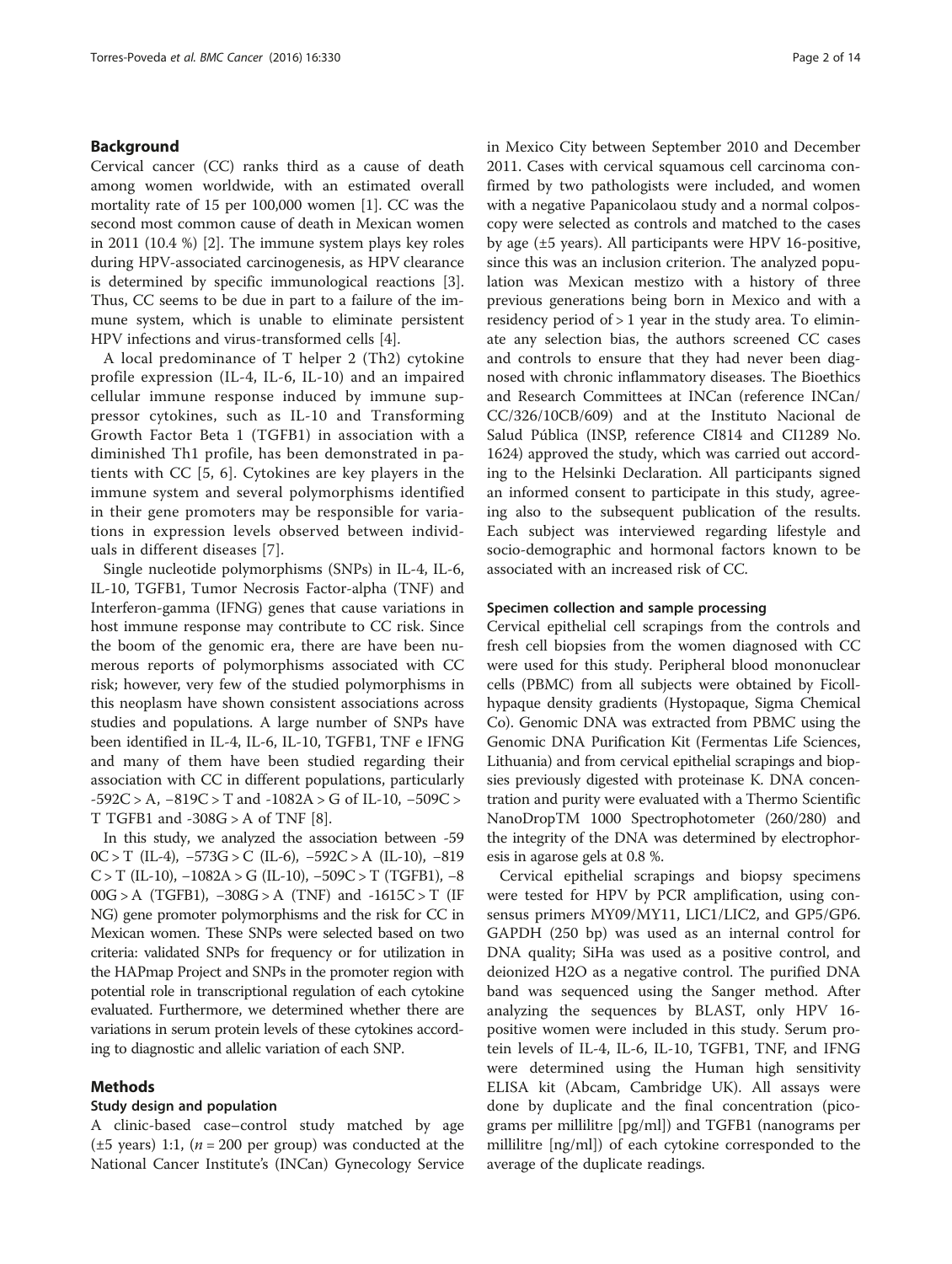## Background

Cervical cancer (CC) ranks third as a cause of death among women worldwide, with an estimated overall mortality rate of 15 per 100,000 women [[1\]](#page-12-0). CC was the second most common cause of death in Mexican women in 2011 (10.4 %) [\[2\]](#page-12-0). The immune system plays key roles during HPV-associated carcinogenesis, as HPV clearance is determined by specific immunological reactions [\[3](#page-12-0)]. Thus, CC seems to be due in part to a failure of the immune system, which is unable to eliminate persistent HPV infections and virus-transformed cells [\[4](#page-12-0)].

A local predominance of T helper 2 (Th2) cytokine profile expression (IL-4, IL-6, IL-10) and an impaired cellular immune response induced by immune suppressor cytokines, such as IL-10 and Transforming Growth Factor Beta 1 (TGFB1) in association with a diminished Th1 profile, has been demonstrated in patients with CC [[5, 6\]](#page-12-0). Cytokines are key players in the immune system and several polymorphisms identified in their gene promoters may be responsible for variations in expression levels observed between individuals in different diseases [[7](#page-12-0)].

Single nucleotide polymorphisms (SNPs) in IL-4, IL-6, IL-10, TGFB1, Tumor Necrosis Factor-alpha (TNF) and Interferon-gamma (IFNG) genes that cause variations in host immune response may contribute to CC risk. Since the boom of the genomic era, there are have been numerous reports of polymorphisms associated with CC risk; however, very few of the studied polymorphisms in this neoplasm have shown consistent associations across studies and populations. A large number of SNPs have been identified in IL-4, IL-6, IL-10, TGFB1, TNF e IFNG and many of them have been studied regarding their association with CC in different populations, particularly -592C > A, −819C > T and -1082A > G of IL-10, −509C > T TGFB1 and -308G > A of TNF [[8\]](#page-12-0).

In this study, we analyzed the association between -59 0C > T (IL-4), −573G > C (IL-6), −592C > A (IL-10), −819 C > T (IL-10),  $-1082A$  > G (IL-10),  $-509C$  > T (TGFB1),  $-8$ 00G > A (TGFB1),  $-308G$  > A (TNF) and  $-1615C$  > T (IF NG) gene promoter polymorphisms and the risk for CC in Mexican women. These SNPs were selected based on two criteria: validated SNPs for frequency or for utilization in the HAPmap Project and SNPs in the promoter region with potential role in transcriptional regulation of each cytokine evaluated. Furthermore, we determined whether there are variations in serum protein levels of these cytokines according to diagnostic and allelic variation of each SNP.

## Methods

#### Study design and population

A clinic-based case–control study matched by age  $(\pm 5 \text{ years})$  1:1,  $(n = 200 \text{ per group})$  was conducted at the National Cancer Institute's (INCan) Gynecology Service in Mexico City between September 2010 and December 2011. Cases with cervical squamous cell carcinoma confirmed by two pathologists were included, and women with a negative Papanicolaou study and a normal colposcopy were selected as controls and matched to the cases by age (±5 years). All participants were HPV 16-positive, since this was an inclusion criterion. The analyzed population was Mexican mestizo with a history of three previous generations being born in Mexico and with a residency period of > 1 year in the study area. To eliminate any selection bias, the authors screened CC cases and controls to ensure that they had never been diagnosed with chronic inflammatory diseases. The Bioethics and Research Committees at INCan (reference INCan/ CC/326/10CB/609) and at the Instituto Nacional de Salud Pública (INSP, reference CI814 and CI1289 No. 1624) approved the study, which was carried out according to the Helsinki Declaration. All participants signed an informed consent to participate in this study, agreeing also to the subsequent publication of the results. Each subject was interviewed regarding lifestyle and socio-demographic and hormonal factors known to be associated with an increased risk of CC.

#### Specimen collection and sample processing

Cervical epithelial cell scrapings from the controls and fresh cell biopsies from the women diagnosed with CC were used for this study. Peripheral blood mononuclear cells (PBMC) from all subjects were obtained by Ficollhypaque density gradients (Hystopaque, Sigma Chemical Co). Genomic DNA was extracted from PBMC using the Genomic DNA Purification Kit (Fermentas Life Sciences, Lithuania) and from cervical epithelial scrapings and biopsies previously digested with proteinase K. DNA concentration and purity were evaluated with a Thermo Scientific NanoDropTM 1000 Spectrophotometer (260/280) and the integrity of the DNA was determined by electrophoresis in agarose gels at 0.8 %.

Cervical epithelial scrapings and biopsy specimens were tested for HPV by PCR amplification, using consensus primers MY09/MY11, LIC1/LIC2, and GP5/GP6. GAPDH (250 bp) was used as an internal control for DNA quality; SiHa was used as a positive control, and deionized H2O as a negative control. The purified DNA band was sequenced using the Sanger method. After analyzing the sequences by BLAST, only HPV 16 positive women were included in this study. Serum protein levels of IL-4, IL-6, IL-10, TGFB1, TNF, and IFNG were determined using the Human high sensitivity ELISA kit (Abcam, Cambridge UK). All assays were done by duplicate and the final concentration (picograms per millilitre [pg/ml]) and TGFB1 (nanograms per millilitre [ng/ml]) of each cytokine corresponded to the average of the duplicate readings.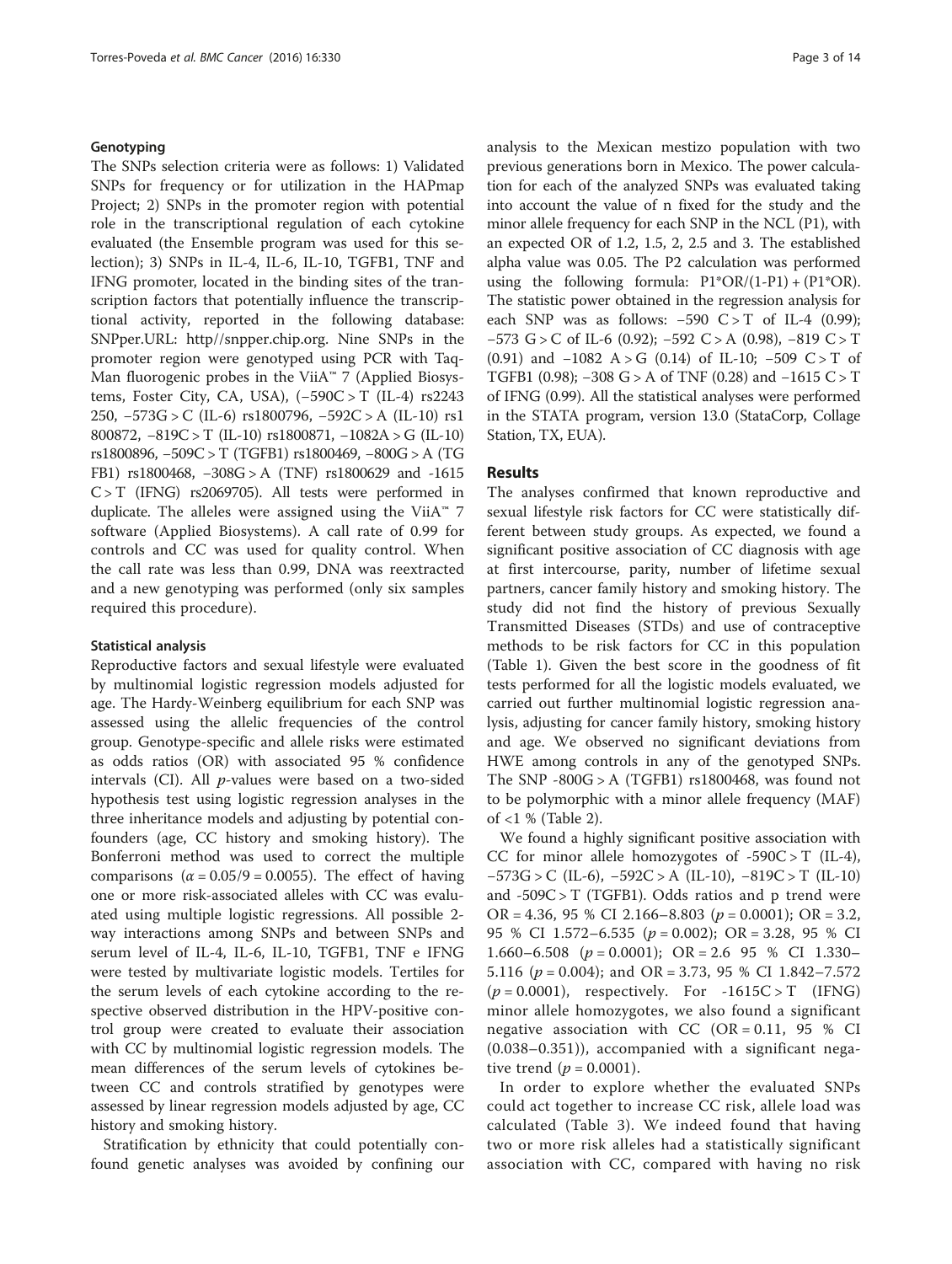### Genotyping

The SNPs selection criteria were as follows: 1) Validated SNPs for frequency or for utilization in the HAPmap Project; 2) SNPs in the promoter region with potential role in the transcriptional regulation of each cytokine evaluated (the Ensemble program was used for this selection); 3) SNPs in IL-4, IL-6, IL-10, TGFB1, TNF and IFNG promoter, located in the binding sites of the transcription factors that potentially influence the transcriptional activity, reported in the following database: SNPper.URL: [http//snpper.chip.org.](http://snpper.chip.org) Nine SNPs in the promoter region were genotyped using PCR with Taq-Man fluorogenic probes in the ViiA™ 7 (Applied Biosystems, Foster City, CA, USA), (−590C > T (IL-4) rs2243 250, −573G > C (IL-6) rs1800796, −592C > A (IL-10) rs1 800872, −819C > T (IL-10) rs1800871, −1082A > G (IL-10) rs1800896, −509C > T (TGFB1) rs1800469, −800G > A (TG FB1) rs1800468, −308G > A (TNF) rs1800629 and -1615  $C > T$  (IFNG) rs2069705). All tests were performed in duplicate. The alleles were assigned using the ViiA™ 7 software (Applied Biosystems). A call rate of 0.99 for controls and CC was used for quality control. When the call rate was less than 0.99, DNA was reextracted and a new genotyping was performed (only six samples required this procedure).

#### Statistical analysis

Reproductive factors and sexual lifestyle were evaluated by multinomial logistic regression models adjusted for age. The Hardy-Weinberg equilibrium for each SNP was assessed using the allelic frequencies of the control group. Genotype-specific and allele risks were estimated as odds ratios (OR) with associated 95 % confidence intervals (CI). All  $p$ -values were based on a two-sided hypothesis test using logistic regression analyses in the three inheritance models and adjusting by potential confounders (age, CC history and smoking history). The Bonferroni method was used to correct the multiple comparisons  $(\alpha = 0.05/9 = 0.0055)$ . The effect of having one or more risk-associated alleles with CC was evaluated using multiple logistic regressions. All possible 2 way interactions among SNPs and between SNPs and serum level of IL-4, IL-6, IL-10, TGFB1, TNF e IFNG were tested by multivariate logistic models. Tertiles for the serum levels of each cytokine according to the respective observed distribution in the HPV-positive control group were created to evaluate their association with CC by multinomial logistic regression models. The mean differences of the serum levels of cytokines between CC and controls stratified by genotypes were assessed by linear regression models adjusted by age, CC history and smoking history.

Stratification by ethnicity that could potentially confound genetic analyses was avoided by confining our analysis to the Mexican mestizo population with two previous generations born in Mexico. The power calculation for each of the analyzed SNPs was evaluated taking into account the value of n fixed for the study and the minor allele frequency for each SNP in the NCL (P1), with an expected OR of 1.2, 1.5, 2, 2.5 and 3. The established alpha value was 0.05. The P2 calculation was performed using the following formula:  $P1*OR/(1-P1) + (P1*OR)$ . The statistic power obtained in the regression analysis for each SNP was as follows:  $-590 \text{ C} > T$  of IL-4 (0.99); −573 G > C of IL-6 (0.92); −592 C > A (0.98), −819 C > T (0.91) and  $-1082$  A > G (0.14) of IL-10; -509 C > T of TGFB1 (0.98);  $-308$  G > A of TNF (0.28) and  $-1615$  C > T of IFNG (0.99). All the statistical analyses were performed in the STATA program, version 13.0 (StataCorp, Collage Station, TX, EUA).

## Results

The analyses confirmed that known reproductive and sexual lifestyle risk factors for CC were statistically different between study groups. As expected, we found a significant positive association of CC diagnosis with age at first intercourse, parity, number of lifetime sexual partners, cancer family history and smoking history. The study did not find the history of previous Sexually Transmitted Diseases (STDs) and use of contraceptive methods to be risk factors for CC in this population (Table [1\)](#page-3-0). Given the best score in the goodness of fit tests performed for all the logistic models evaluated, we carried out further multinomial logistic regression analysis, adjusting for cancer family history, smoking history and age. We observed no significant deviations from HWE among controls in any of the genotyped SNPs. The SNP  $-800G > A$  (TGFB1) rs1800468, was found not to be polymorphic with a minor allele frequency (MAF) of <1 % (Table [2\)](#page-4-0).

We found a highly significant positive association with CC for minor allele homozygotes of  $-590C > T$  (IL-4), −573G > C (IL-6), −592C > A (IL-10), −819C > T (IL-10) and  $-509C > T$  (TGFB1). Odds ratios and p trend were OR = 4.36, 95 % CI 2.166–8.803 ( $p = 0.0001$ ); OR = 3.2, 95 % CI 1.572–6.535 (p = 0.002); OR = 3.28, 95 % CI 1.660–6.508 ( $p = 0.0001$ ); OR = 2.6 95 % CI 1.330– 5.116 ( $p = 0.004$ ); and OR = 3.73, 95 % CI 1.842–7.572  $(p = 0.0001)$ , respectively. For -1615C > T (IFNG) minor allele homozygotes, we also found a significant negative association with CC (OR =  $0.11$ , 95 % CI (0.038–0.351)), accompanied with a significant negative trend ( $p = 0.0001$ ).

In order to explore whether the evaluated SNPs could act together to increase CC risk, allele load was calculated (Table [3](#page-7-0)). We indeed found that having two or more risk alleles had a statistically significant association with CC, compared with having no risk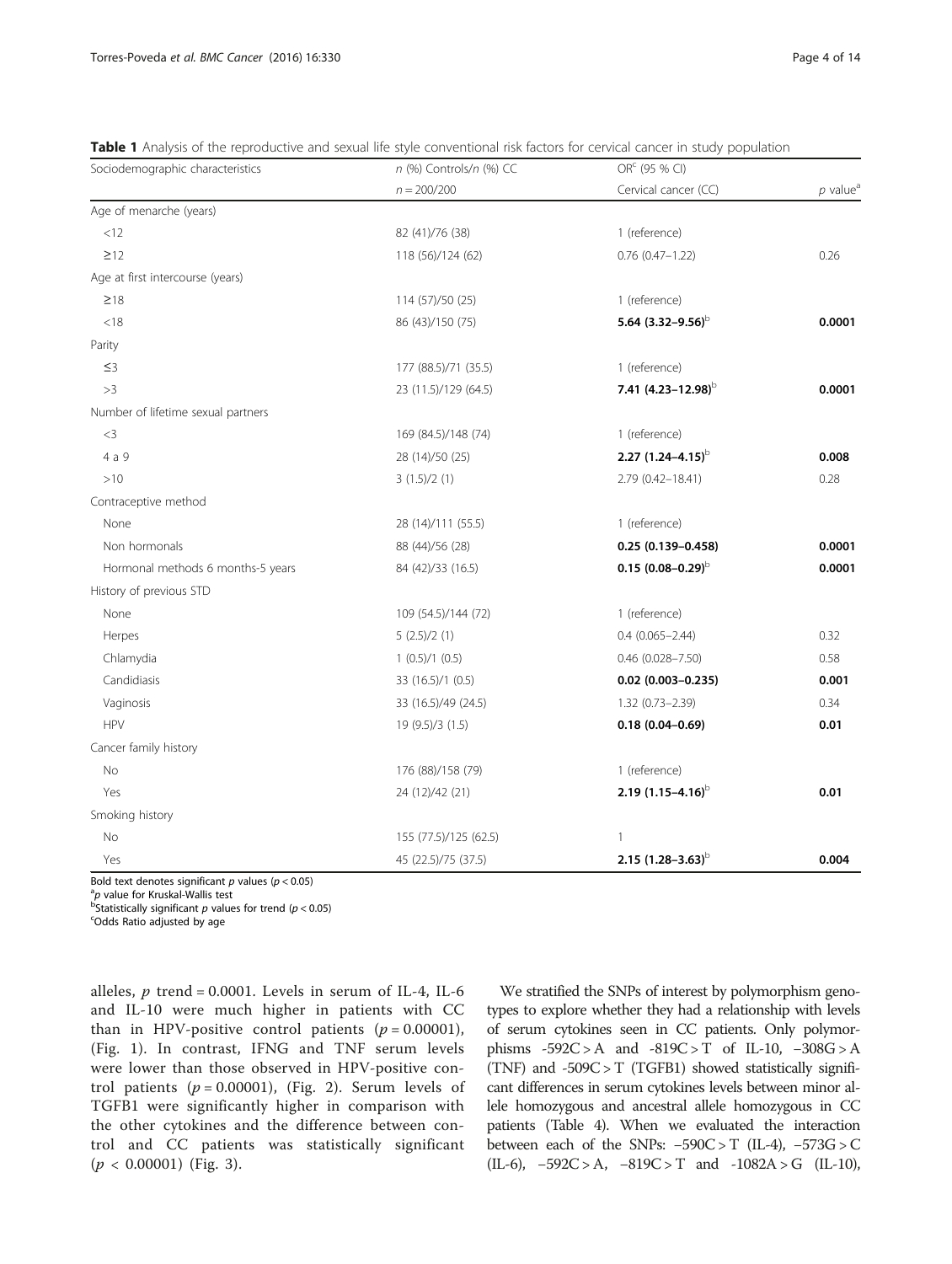<span id="page-3-0"></span>

|  |  |  | Table 1 Analysis of the reproductive and sexual life style conventional risk factors for cervical cancer in study population |  |
|--|--|--|------------------------------------------------------------------------------------------------------------------------------|--|
|  |  |  |                                                                                                                              |  |

| Sociodemographic characteristics   | n (%) Controls/n (%) CC | OR <sup>c</sup> (95 % CI) |                        |
|------------------------------------|-------------------------|---------------------------|------------------------|
|                                    | $n = 200/200$           | Cervical cancer (CC)      | $p$ value <sup>a</sup> |
| Age of menarche (years)            |                         |                           |                        |
| <12                                | 82 (41)/76 (38)         | 1 (reference)             |                        |
| $\geq$ 12                          | 118 (56)/124 (62)       | $0.76(0.47 - 1.22)$       | 0.26                   |
| Age at first intercourse (years)   |                         |                           |                        |
| $\geq 18$                          | 114 (57)/50 (25)        | 1 (reference)             |                        |
| < 18                               | 86 (43)/150 (75)        | 5.64 $(3.32 - 9.56)^{b}$  | 0.0001                 |
| Parity                             |                         |                           |                        |
| $\leq$ 3                           | 177 (88.5)/71 (35.5)    | 1 (reference)             |                        |
| >3                                 | 23 (11.5)/129 (64.5)    | 7.41 $(4.23 - 12.98)^{b}$ | 0.0001                 |
| Number of lifetime sexual partners |                         |                           |                        |
| $<$ 3                              | 169 (84.5)/148 (74)     | 1 (reference)             |                        |
| 4 a 9                              | 28 (14)/50 (25)         | 2.27 $(1.24 - 4.15)^{b}$  | 0.008                  |
| >10                                | 3(1.5)/2(1)             | 2.79 (0.42-18.41)         | 0.28                   |
| Contraceptive method               |                         |                           |                        |
| None                               | 28 (14)/111 (55.5)      | 1 (reference)             |                        |
| Non hormonals                      | 88 (44)/56 (28)         | $0.25(0.139 - 0.458)$     | 0.0001                 |
| Hormonal methods 6 months-5 years  | 84 (42)/33 (16.5)       | $0.15(0.08 - 0.29)$       | 0.0001                 |
| History of previous STD            |                         |                           |                        |
| None                               | 109 (54.5)/144 (72)     | 1 (reference)             |                        |
| Herpes                             | 5(2.5)/2(1)             | $0.4(0.065 - 2.44)$       | 0.32                   |
| Chlamydia                          | 1(0.5)/1(0.5)           | $0.46$ (0.028-7.50)       | 0.58                   |
| Candidiasis                        | 33 (16.5)/1 (0.5)       | $0.02$ (0.003-0.235)      | 0.001                  |
| Vaginosis                          | 33 (16.5)/49 (24.5)     | 1.32 (0.73-2.39)          | 0.34                   |
| <b>HPV</b>                         | 19 (9.5)/3 (1.5)        | $0.18(0.04 - 0.69)$       | 0.01                   |
| Cancer family history              |                         |                           |                        |
| No                                 | 176 (88)/158 (79)       | 1 (reference)             |                        |
| Yes                                | 24 (12)/42 (21)         | 2.19 $(1.15-4.16)^{b}$    | 0.01                   |
| Smoking history                    |                         |                           |                        |
| No                                 | 155 (77.5)/125 (62.5)   | $\mathbf{1}$              |                        |
| Yes                                | 45 (22.5)/75 (37.5)     | 2.15 $(1.28 - 3.63)^{b}$  | 0.004                  |

Bold text denotes significant  $p$  values ( $p < 0.05$ )

<sup>a</sup>p value for Kruskal-Wallis test<br><sup>b</sup>Statistically significant navalu

 $^{\rm B}$ Statistically significant  $p$  values for trend ( $p$  < 0.05)<br><sup>c</sup>Odds Batio adjusted by age

Odds Ratio adjusted by age

alleles,  $p$  trend = 0.0001. Levels in serum of IL-4, IL-6 and IL-10 were much higher in patients with CC than in HPV-positive control patients ( $p = 0.00001$ ), (Fig. [1\)](#page-7-0). In contrast, IFNG and TNF serum levels were lower than those observed in HPV-positive control patients ( $p = 0.00001$ ), (Fig. [2\)](#page-8-0). Serum levels of TGFB1 were significantly higher in comparison with the other cytokines and the difference between control and CC patients was statistically significant  $(p < 0.00001)$  (Fig. [3\)](#page-8-0).

We stratified the SNPs of interest by polymorphism genotypes to explore whether they had a relationship with levels of serum cytokines seen in CC patients. Only polymorphisms -592C > A and -819C > T of IL-10, −308G > A (TNF) and -509C > T (TGFB1) showed statistically significant differences in serum cytokines levels between minor allele homozygous and ancestral allele homozygous in CC patients (Table [4](#page-9-0)). When we evaluated the interaction between each of the SNPs:  $-590C > T$  (IL-4),  $-573G > C$ (IL-6), −592C > A, −819C > T and -1082A > G (IL-10),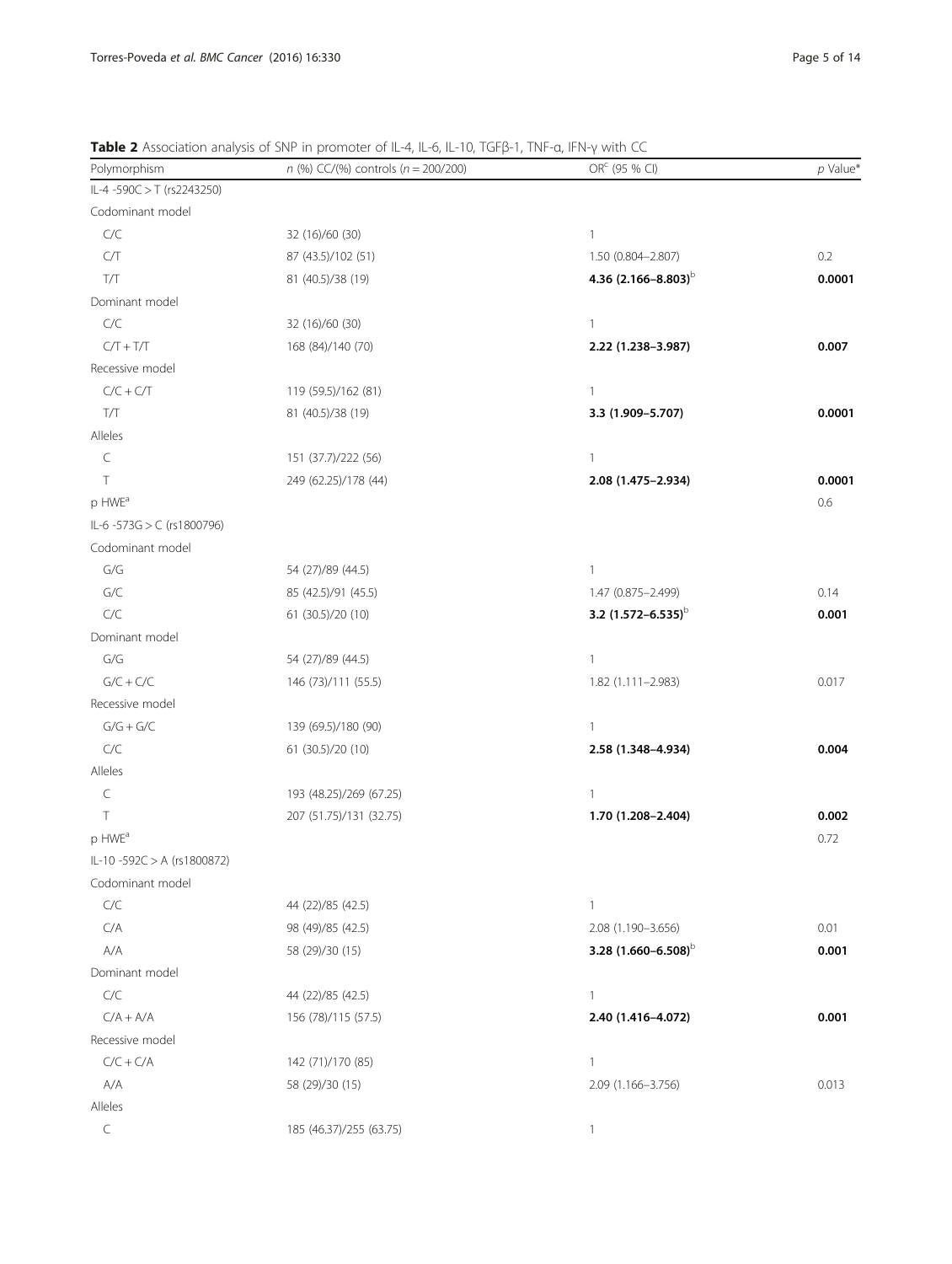Alleles

| Polymorphism               | $n$ (%) CC/(%) controls ( $n = 200/200$ ) | OR <sup>c</sup> (95 % CI)      | $p$ Value* |
|----------------------------|-------------------------------------------|--------------------------------|------------|
| IL-4 -590C > T (rs2243250) |                                           |                                |            |
| Codominant model           |                                           |                                |            |
| C/C                        | 32 (16)/60 (30)                           | $\mathbf{1}$                   |            |
| C/T                        | 87 (43.5)/102 (51)                        | 1.50 (0.804-2.807)             | 0.2        |
| T/T                        | 81 (40.5)/38 (19)                         | 4.36 $(2.166 - 8.803)^b$       | 0.0001     |
| Dominant model             |                                           |                                |            |
| $C/C$                      | 32 (16)/60 (30)                           | $\mathbf{1}$                   |            |
| $C/T + T/T$                | 168 (84)/140 (70)                         | 2.22 (1.238-3.987)             | 0.007      |
| Recessive model            |                                           |                                |            |
| $C/C + C/T$                | 119 (59.5)/162 (81)                       | $\mathbf{1}$                   |            |
| $T/T$                      | 81 (40.5)/38 (19)                         | 3.3 (1.909-5.707)              | 0.0001     |
| Alleles                    |                                           |                                |            |
| $\subset$                  | 151 (37.7)/222 (56)                       | $\overline{1}$                 |            |
| $\top$                     | 249 (62.25)/178 (44)                      | 2.08 (1.475-2.934)             | 0.0001     |
| p HWE <sup>a</sup>         |                                           |                                | 0.6        |
| IL-6 -573G > C (rs1800796) |                                           |                                |            |
| Codominant model           |                                           |                                |            |
| G/G                        | 54 (27)/89 (44.5)                         | $\mathbf{1}$                   |            |
| $G/C$                      | 85 (42.5)/91 (45.5)                       | 1.47 (0.875-2.499)             | 0.14       |
| C/C                        | 61 (30.5)/20 (10)                         | 3.2 (1.572-6.535) <sup>b</sup> | 0.001      |
| Dominant model             |                                           |                                |            |
| G/G                        | 54 (27)/89 (44.5)                         | $\mathbf{1}$                   |            |
| $G/C + C/C$                | 146 (73)/111 (55.5)                       | 1.82 (1.111-2.983)             | 0.017      |
| Recessive model            |                                           |                                |            |
| $G/G + G/C$                | 139 (69.5)/180 (90)                       | $\mathbf{1}$                   |            |
| C/C                        | 61 (30.5)/20 (10)                         | 2.58 (1.348-4.934)             | 0.004      |
| Alleles                    |                                           |                                |            |
| $\subset$                  | 193 (48.25)/269 (67.25)                   | $\mathbf{1}$                   |            |
| $\top$                     | 207 (51.75)/131 (32.75)                   | 1.70 (1.208-2.404)             | 0.002      |
| p HWE <sup>a</sup>         |                                           |                                | 0.72       |
| IL-10-592C > A (rs1800872) |                                           |                                |            |
| Codominant model           |                                           |                                |            |
| C/C                        | 44 (22)/85 (42.5)                         | $\mathbf{1}$                   |            |
| C/A                        | 98 (49)/85 (42.5)                         | 2.08 (1.190-3.656)             | 0.01       |
| A/A                        | 58 (29)/30 (15)                           | 3.28 $(1.660 - 6.508)$         | 0.001      |
| Dominant model             |                                           |                                |            |
| $C/C$                      | 44 (22)/85 (42.5)                         | $\mathbf{1}$                   |            |
| $C/A + A/A$                | 156 (78)/115 (57.5)                       | 2.40 (1.416-4.072)             | 0.001      |
| Recessive model            |                                           |                                |            |
| $C/C + C/A$                | 142 (71)/170 (85)                         | $\mathbf{1}$                   |            |
| A/A                        | 58 (29)/30 (15)                           | 2.09 (1.166-3.756)             | 0.013      |

<span id="page-4-0"></span>Table 2 Association analysis of SNP in promoter of IL-4, IL-6, IL-10, TGFβ-1, TNF-α, IFN-γ with CC

C 185 (46.37)/255 (63.75)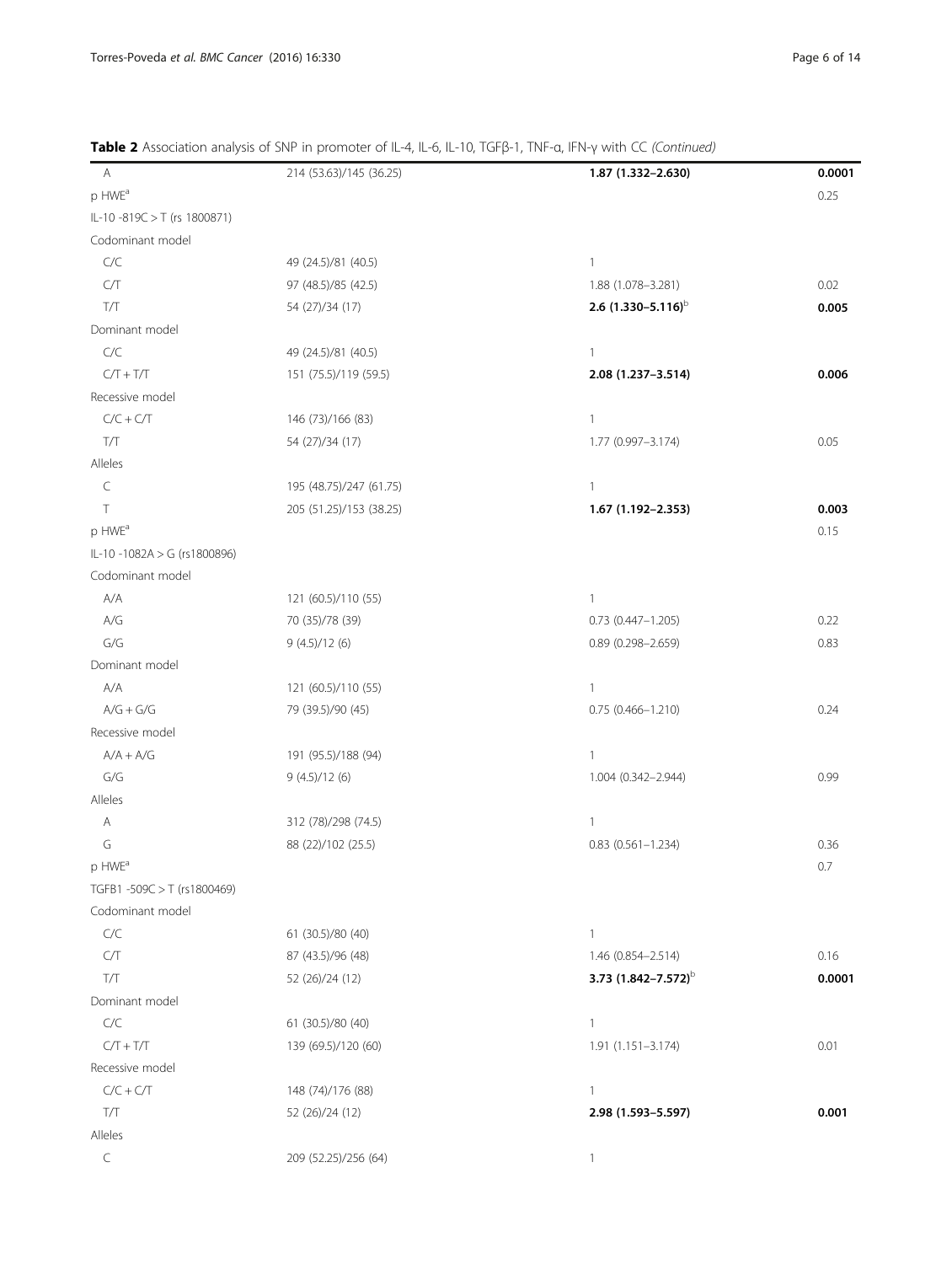| A                            | 214 (53.63)/145 (36.25) | 1.87 (1.332-2.630)              | 0.0001 |
|------------------------------|-------------------------|---------------------------------|--------|
| p HWE <sup>a</sup>           |                         |                                 | 0.25   |
| IL-10 -819C > T (rs 1800871) |                         |                                 |        |
| Codominant model             |                         |                                 |        |
| C/C                          | 49 (24.5)/81 (40.5)     | $\mathbf{1}$                    |        |
| ${\mathbb C}/{\mathbb T}$    | 97 (48.5)/85 (42.5)     | 1.88 (1.078-3.281)              | 0.02   |
| T/T                          | 54 (27)/34 (17)         | 2.6 $(1.330 - 5.116)^{b}$       | 0.005  |
| Dominant model               |                         |                                 |        |
| C/C                          | 49 (24.5)/81 (40.5)     | $\mathbf{1}$                    |        |
| $C/T + T/T$                  | 151 (75.5)/119 (59.5)   | 2.08 (1.237-3.514)              | 0.006  |
| Recessive model              |                         |                                 |        |
| $C/C + C/T$                  | 146 (73)/166 (83)       | $\mathbf{1}$                    |        |
| $T/T$                        | 54 (27)/34 (17)         | 1.77 (0.997-3.174)              | 0.05   |
|                              |                         |                                 |        |
| Alleles<br>$\subset$         |                         | $\mathbf{1}$                    |        |
| $\top$                       | 195 (48.75)/247 (61.75) | 1.67 (1.192-2.353)              |        |
|                              | 205 (51.25)/153 (38.25) |                                 | 0.003  |
| p HWE <sup>a</sup>           |                         |                                 | 0.15   |
| IL-10 -1082A > G (rs1800896) |                         |                                 |        |
| Codominant model             |                         |                                 |        |
| A/A                          | 121 (60.5)/110 (55)     | $\mathbf{1}$                    |        |
| $A/G$                        | 70 (35)/78 (39)         | $0.73$ $(0.447 - 1.205)$        | 0.22   |
| G/G                          | 9(4.5)/12(6)            | $0.89(0.298 - 2.659)$           | 0.83   |
| Dominant model               |                         |                                 |        |
| A/A                          | 121 (60.5)/110 (55)     | $\mathbf{1}$                    |        |
| $A/G + G/G$                  | 79 (39.5)/90 (45)       | $0.75(0.466 - 1.210)$           | 0.24   |
| Recessive model              |                         |                                 |        |
| $A/A + A/G$                  | 191 (95.5)/188 (94)     | $\mathbf{1}$                    |        |
| G/G                          | 9(4.5)/12(6)            | 1.004 (0.342-2.944)             | 0.99   |
| Alleles                      |                         |                                 |        |
| Α                            | 312 (78)/298 (74.5)     | $\mathbf{1}$                    |        |
| G                            | 88 (22)/102 (25.5)      | $0.83(0.561 - 1.234)$           | 0.36   |
| p HWE <sup>a</sup>           |                         |                                 | 0.7    |
| TGFB1-509C > T (rs1800469)   |                         |                                 |        |
| Codominant model             |                         |                                 |        |
| C/C                          | 61 (30.5)/80 (40)       | $\mathbf{1}$                    |        |
| ${\mathbb C}/{\mathbb T}$    | 87 (43.5)/96 (48)       | 1.46 (0.854-2.514)              | 0.16   |
| $T/T$                        | 52 (26)/24 (12)         | 3.73 (1.842-7.572) <sup>b</sup> | 0.0001 |
| Dominant model               |                         |                                 |        |
| $C/C$                        | 61 (30.5)/80 (40)       | $\mathbf{1}$                    |        |
| $C/T + T/T$                  | 139 (69.5)/120 (60)     | 1.91 (1.151-3.174)              | 0.01   |
| Recessive model              |                         |                                 |        |
| $C/C + C/T$                  | 148 (74)/176 (88)       | $\mathbf{1}$                    |        |
| $T/T$                        | 52 (26)/24 (12)         | 2.98 (1.593-5.597)              | 0.001  |
| Alleles                      |                         |                                 |        |
| $\subset$                    | 209 (52.25)/256 (64)    | $\mathbf{1}$                    |        |

Table 2 Association analysis of SNP in promoter of IL-4, IL-6, IL-10, TGFβ-1, TNF-α, IFN-γ with CC (Continued)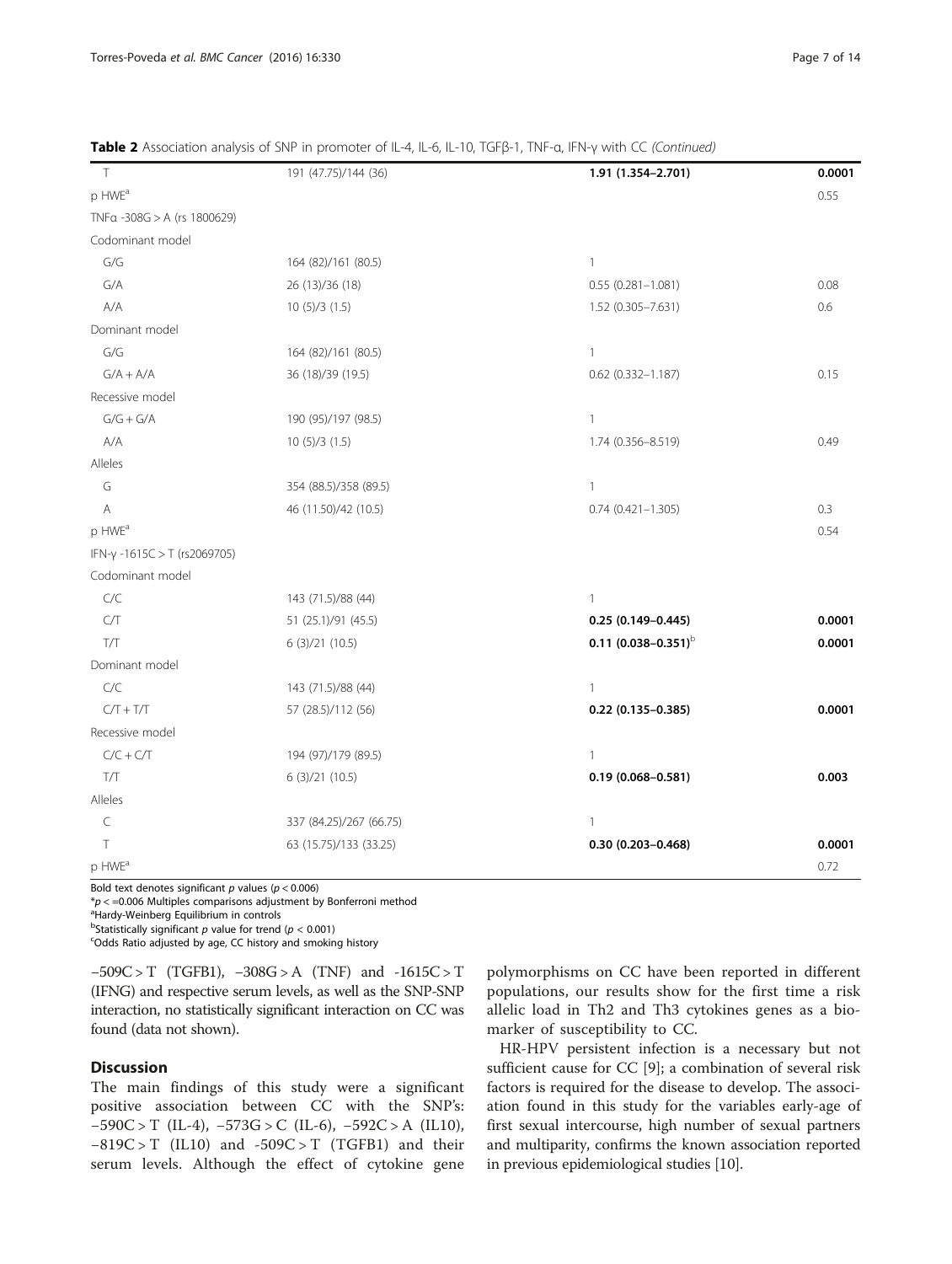| $\top$                       | 191 (47.75)/144 (36)    | 1.91 (1.354-2.701)           | 0.0001 |
|------------------------------|-------------------------|------------------------------|--------|
| p HWE <sup>a</sup>           |                         |                              | 0.55   |
| TNFa -308G > A (rs 1800629)  |                         |                              |        |
| Codominant model             |                         |                              |        |
| G/G                          | 164 (82)/161 (80.5)     | $\mathbf{1}$                 |        |
| G/A                          | 26 (13)/36 (18)         | $0.55(0.281 - 1.081)$        | 0.08   |
| A/A                          | 10(5)/3(1.5)            | $1.52(0.305 - 7.631)$        | 0.6    |
| Dominant model               |                         |                              |        |
| ${\mathsf G}/{\mathsf G}$    | 164 (82)/161 (80.5)     | $\mathbf{1}$                 |        |
| $G/A + A/A$                  | 36 (18)/39 (19.5)       | $0.62$ $(0.332 - 1.187)$     | 0.15   |
| Recessive model              |                         |                              |        |
| $G/G + G/A$                  | 190 (95)/197 (98.5)     | $\mathbf{1}$                 |        |
| A/A                          | 10(5)/3(1.5)            | 1.74 (0.356-8.519)           | 0.49   |
| Alleles                      |                         |                              |        |
| G                            | 354 (88.5)/358 (89.5)   | $\mathbf{1}$                 |        |
| $\mathsf{A}$                 | 46 (11.50)/42 (10.5)    | $0.74(0.421 - 1.305)$        | 0.3    |
| p HWE <sup>a</sup>           |                         |                              | 0.54   |
| IFN-γ -1615C > T (rs2069705) |                         |                              |        |
| Codominant model             |                         |                              |        |
| C/C                          | 143 (71.5)/88 (44)      | $\mathbf{1}$                 |        |
| C/T                          | 51 (25.1)/91 (45.5)     | $0.25(0.149 - 0.445)$        | 0.0001 |
| T/T                          | 6(3)/21(10.5)           | $0.11$ $(0.038 - 0.351)^{b}$ | 0.0001 |
| Dominant model               |                         |                              |        |
| C/C                          | 143 (71.5)/88 (44)      | $\mathbf{1}$                 |        |
| $C/T + T/T$                  | 57 (28.5)/112 (56)      | $0.22$ (0.135-0.385)         | 0.0001 |
| Recessive model              |                         |                              |        |
| $C/C + C/T$                  | 194 (97)/179 (89.5)     | $\mathbf{1}$                 |        |
| T/T                          | 6(3)/21(10.5)           | $0.19(0.068 - 0.581)$        | 0.003  |
| Alleles                      |                         |                              |        |
| $\subset$                    | 337 (84.25)/267 (66.75) | $\mathbf{1}$                 |        |
| T                            | 63 (15.75)/133 (33.25)  | $0.30(0.203 - 0.468)$        | 0.0001 |
| p HWE <sup>a</sup>           |                         |                              | 0.72   |

Table 2 Association analysis of SNP in promoter of IL-4, IL-6, IL-10, TGFβ-1, TNF-α, IFN-γ with CC (Continued)

Bold text denotes significant  $p$  values ( $p < 0.006$ )

 $p < 0.006$  Multiples comparisons adjustment by Bonferroni method

<sup>a</sup>Hardy-Weinberg Equilibrium in controls

<sup>b</sup>Statistically significant p value for trend ( $p < 0.001$ )<br>
SOdds Patio adjusted by age CC bistory and smoking

Odds Ratio adjusted by age, CC history and smoking history

 $-509C > T$  (TGFB1),  $-308G > A$  (TNF) and  $-1615C > T$ (IFNG) and respective serum levels, as well as the SNP-SNP interaction, no statistically significant interaction on CC was found (data not shown).

## **Discussion**

The main findings of this study were a significant positive association between CC with the SNP's: −590C > T (IL-4), −573G > C (IL-6), −592C > A (IL10),  $-819C > T$  (IL10) and  $-509C > T$  (TGFB1) and their serum levels. Although the effect of cytokine gene

polymorphisms on CC have been reported in different populations, our results show for the first time a risk allelic load in Th2 and Th3 cytokines genes as a biomarker of susceptibility to CC.

HR-HPV persistent infection is a necessary but not sufficient cause for CC [[9](#page-12-0)]; a combination of several risk factors is required for the disease to develop. The association found in this study for the variables early-age of first sexual intercourse, high number of sexual partners and multiparity, confirms the known association reported in previous epidemiological studies [\[10\]](#page-12-0).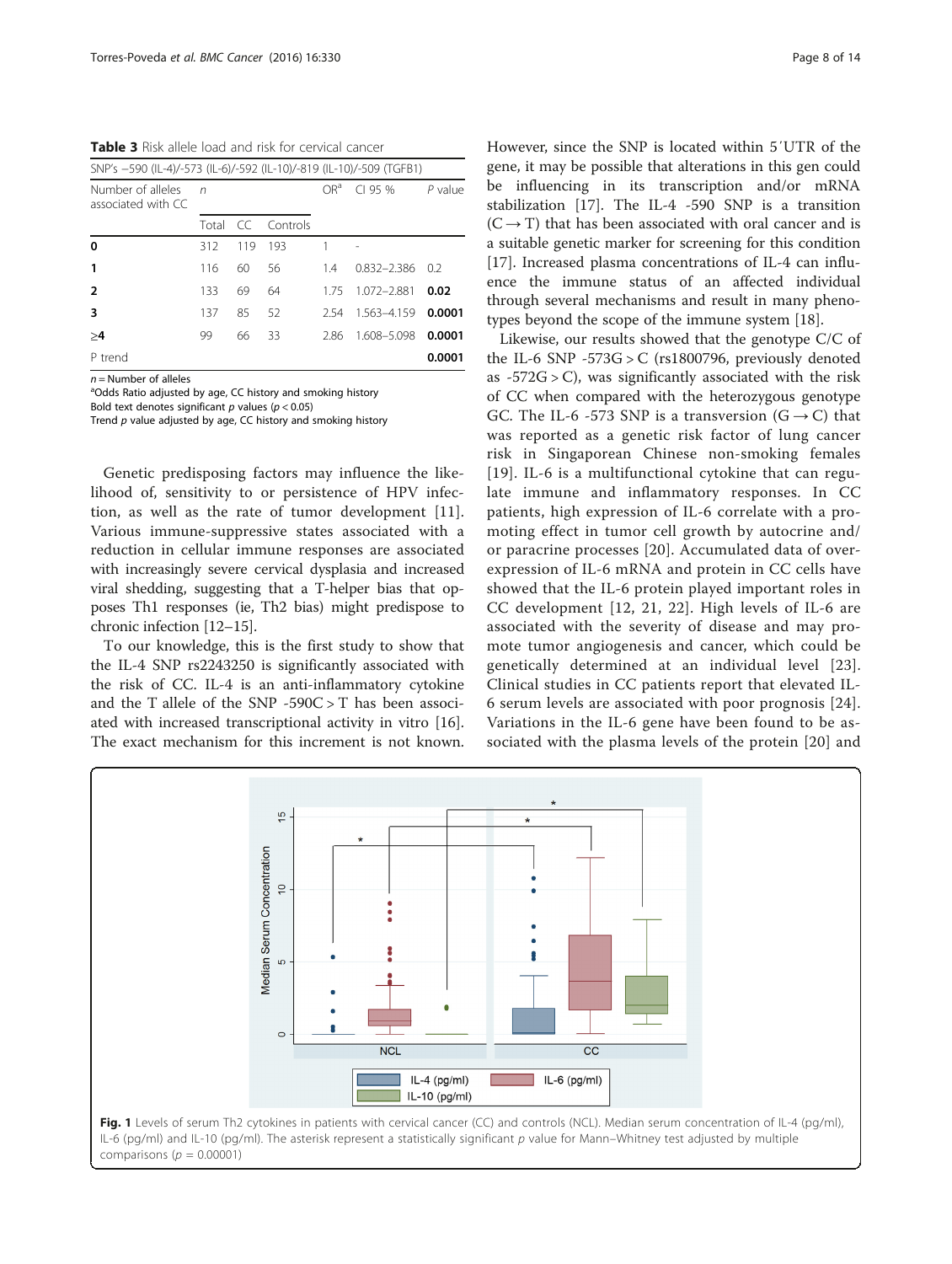<span id="page-7-0"></span>Table 3 Risk allele load and risk for cervical cancer

| SNP's -590 (IL-4)/-573 (IL-6)/-592 (IL-10)/-819 (IL-10)/-509 (TGFB1) |       |     |             |                 |                              |           |
|----------------------------------------------------------------------|-------|-----|-------------|-----------------|------------------------------|-----------|
| Number of alleles<br>associated with CC                              | n     |     |             | OR <sup>a</sup> | C195%                        | $P$ value |
|                                                                      | Total |     | CC Controls |                 |                              |           |
| 0                                                                    | 312   | 119 | 193         | 1               | $\qquad \qquad \blacksquare$ |           |
| 1                                                                    | 116   | 60  | 56          | 14              | $0.832 - 2.386$              | - 0.2     |
| 2                                                                    | 133   | 69  | 64          | 175             | 1072-2881                    | 0.02      |
| 3                                                                    | 137   | 85  | 52          | 2.54            | 1563-4159                    | 0.0001    |
| >4                                                                   | 99    | 66  | 33          | 286             | 1.608-5.098                  | 0.0001    |
| P trend                                                              |       |     |             |                 |                              | 0.0001    |
|                                                                      |       |     |             |                 |                              |           |

 $n =$  Number of alleles

<sup>a</sup>Odds Ratio adjusted by age, CC history and smoking history

Bold text denotes significant  $p$  values ( $p < 0.05$ ) Trend  $p$  value adjusted by age, CC history and smoking history

Genetic predisposing factors may influence the likelihood of, sensitivity to or persistence of HPV infection, as well as the rate of tumor development [[11](#page-12-0)]. Various immune-suppressive states associated with a reduction in cellular immune responses are associated with increasingly severe cervical dysplasia and increased viral shedding, suggesting that a T-helper bias that opposes Th1 responses (ie, Th2 bias) might predispose to chronic infection [[12](#page-12-0)–[15\]](#page-12-0).

To our knowledge, this is the first study to show that the IL-4 SNP rs2243250 is significantly associated with the risk of CC. IL-4 is an anti-inflammatory cytokine and the T allele of the SNP  $-590C > T$  has been associated with increased transcriptional activity in vitro [\[16](#page-12-0)]. The exact mechanism for this increment is not known.

However, since the SNP is located within 5′UTR of the gene, it may be possible that alterations in this gen could be influencing in its transcription and/or mRNA stabilization [[17\]](#page-12-0). The IL-4 -590 SNP is a transition  $(C \rightarrow T)$  that has been associated with oral cancer and is a suitable genetic marker for screening for this condition [[17\]](#page-12-0). Increased plasma concentrations of IL-4 can influence the immune status of an affected individual through several mechanisms and result in many phenotypes beyond the scope of the immune system [\[18](#page-12-0)].

Likewise, our results showed that the genotype C/C of the IL-6 SNP  $-573G > C$  (rs1800796, previously denoted as  $-572G > C$ , was significantly associated with the risk of CC when compared with the heterozygous genotype GC. The IL-6 -573 SNP is a transversion  $(G \rightarrow C)$  that was reported as a genetic risk factor of lung cancer risk in Singaporean Chinese non-smoking females [[19](#page-12-0)]. IL-6 is a multifunctional cytokine that can regulate immune and inflammatory responses. In CC patients, high expression of IL-6 correlate with a promoting effect in tumor cell growth by autocrine and/ or paracrine processes [\[20\]](#page-12-0). Accumulated data of overexpression of IL-6 mRNA and protein in CC cells have showed that the IL-6 protein played important roles in CC development [[12](#page-12-0), [21, 22](#page-12-0)]. High levels of IL-6 are associated with the severity of disease and may promote tumor angiogenesis and cancer, which could be genetically determined at an individual level [[23](#page-12-0)]. Clinical studies in CC patients report that elevated IL-6 serum levels are associated with poor prognosis [[24](#page-12-0)]. Variations in the IL-6 gene have been found to be associated with the plasma levels of the protein [\[20\]](#page-12-0) and

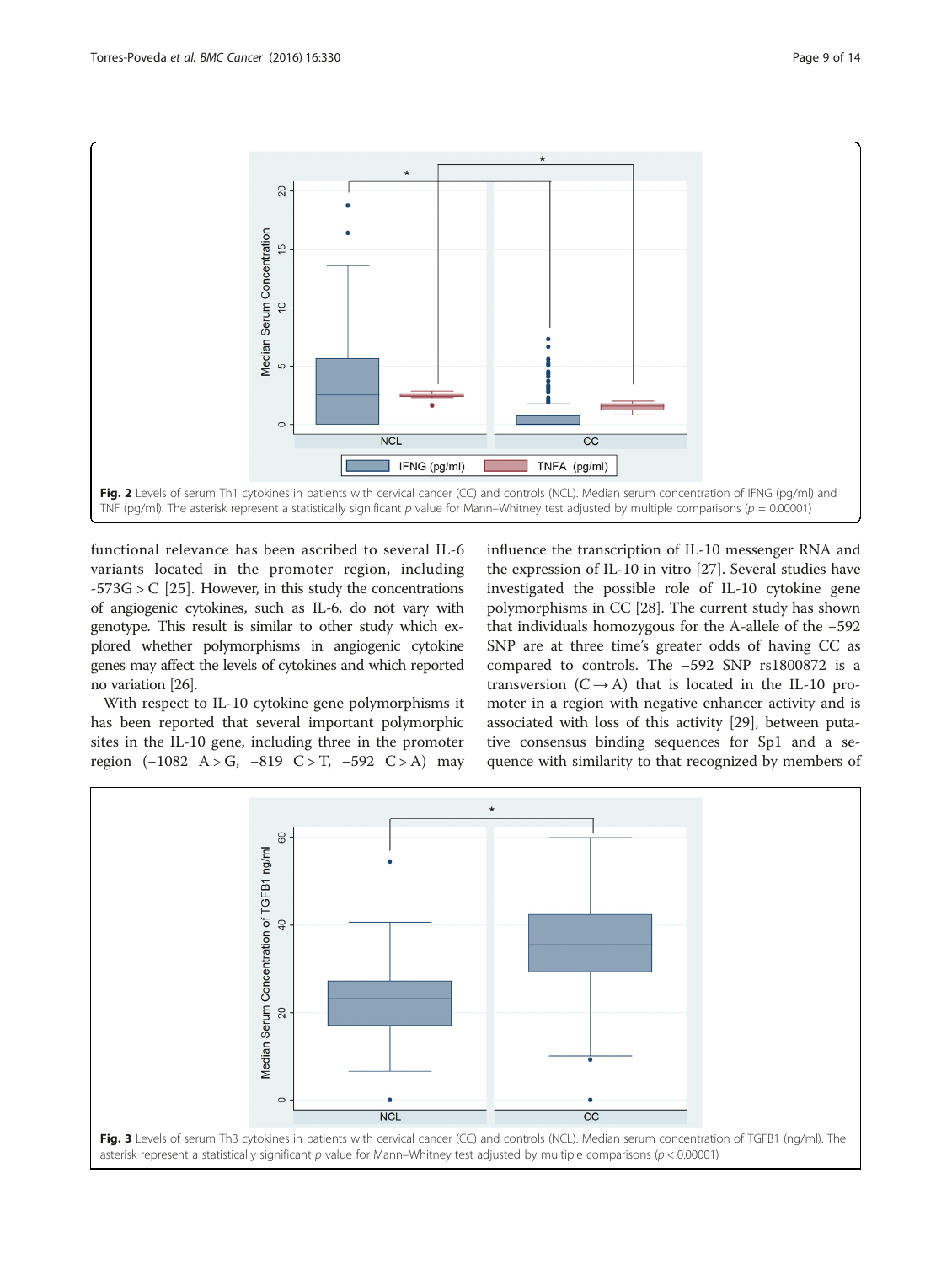<span id="page-8-0"></span>

functional relevance has been ascribed to several IL-6 variants located in the promoter region, including  $-573G > C$  [\[25](#page-12-0)]. However, in this study the concentrations of angiogenic cytokines, such as IL-6, do not vary with genotype. This result is similar to other study which explored whether polymorphisms in angiogenic cytokine genes may affect the levels of cytokines and which reported no variation [\[26\]](#page-12-0).

With respect to IL-10 cytokine gene polymorphisms it has been reported that several important polymorphic sites in the IL-10 gene, including three in the promoter region  $(-1082 \text{ A} > \text{G}, -819 \text{ C} > \text{T}, -592 \text{ C} > \text{A})$  may influence the transcription of IL-10 messenger RNA and the expression of IL-10 in vitro [[27\]](#page-12-0). Several studies have investigated the possible role of IL-10 cytokine gene polymorphisms in CC [[28\]](#page-12-0). The current study has shown that individuals homozygous for the A-allele of the −592 SNP are at three time's greater odds of having CC as compared to controls. The −592 SNP rs1800872 is a transversion  $(C \rightarrow A)$  that is located in the IL-10 promoter in a region with negative enhancer activity and is associated with loss of this activity [[29](#page-12-0)], between putative consensus binding sequences for Sp1 and a sequence with similarity to that recognized by members of

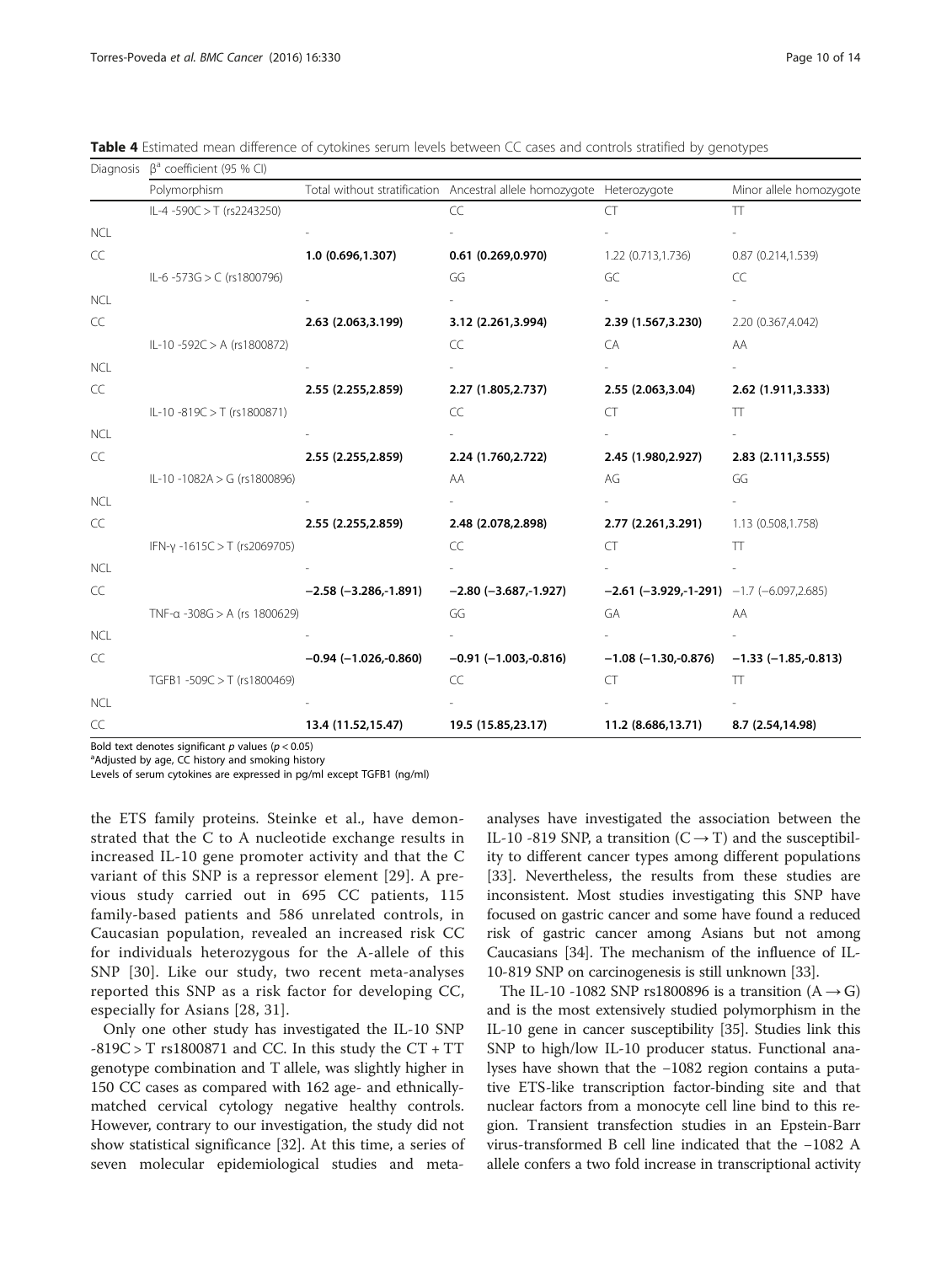<span id="page-9-0"></span>Table 4 Estimated mean difference of cytokines serum levels between CC cases and controls stratified by genotypes

| Diagnosis  | $\beta^a$ coefficient (95 % CI)      |                                 |                                                                       |                                               |                         |  |
|------------|--------------------------------------|---------------------------------|-----------------------------------------------------------------------|-----------------------------------------------|-------------------------|--|
|            | Polymorphism                         |                                 | Total without stratification Ancestral allele homozygote Heterozygote |                                               | Minor allele homozygote |  |
|            | IL-4 -590C > T (rs2243250)           |                                 | CC                                                                    | CT                                            | TT                      |  |
| <b>NCL</b> |                                      |                                 |                                                                       |                                               |                         |  |
| CC         |                                      | 1.0 (0.696,1.307)               | 0.61(0.269, 0.970)                                                    | 1.22 (0.713,1.736)                            | 0.87(0.214, 1.539)      |  |
|            | IL-6 -573G > C (rs1800796)           |                                 | GG                                                                    | GC                                            | CC                      |  |
| <b>NCL</b> |                                      |                                 |                                                                       |                                               |                         |  |
| CC         |                                      | 2.63 (2.063,3.199)              | 3.12 (2.261,3.994)                                                    | 2.39 (1.567,3.230)                            | 2.20 (0.367,4.042)      |  |
|            | IL-10 -592C > A (rs1800872)          |                                 | CC                                                                    | CA                                            | AA                      |  |
| <b>NCL</b> |                                      |                                 |                                                                       |                                               |                         |  |
| CC         |                                      | 2.55 (2.255,2.859)              | 2.27 (1.805, 2.737)                                                   | 2.55 (2.063,3.04)                             | 2.62 (1.911,3.333)      |  |
|            | IL-10-819C > T (rs1800871)           |                                 | CC                                                                    | CT                                            | $\top$                  |  |
| <b>NCL</b> |                                      |                                 |                                                                       |                                               |                         |  |
| CC         |                                      | 2.55 (2.255,2.859)              | 2.24 (1.760, 2.722)                                                   | 2.45 (1.980, 2.927)                           | 2.83 (2.111,3.555)      |  |
|            | IL-10 -1082A > G (rs1800896)         |                                 | AA                                                                    | AG                                            | GG                      |  |
| <b>NCL</b> |                                      |                                 |                                                                       |                                               |                         |  |
| CC         |                                      | 2.55 (2.255,2.859)              | 2.48 (2.078, 2.898)                                                   | 2.77 (2.261,3.291)                            | 1.13 (0.508,1.758)      |  |
|            | IFN- $\gamma$ -1615C > T (rs2069705) |                                 | CC                                                                    | CT                                            | TT                      |  |
| <b>NCL</b> |                                      |                                 |                                                                       |                                               |                         |  |
| CC         |                                      | $-2.58$ ( $-3.286, -1.891$ )    | $-2.80$ ( $-3.687, -1.927$ )                                          | $-2.61$ (-3.929,-1-291) $-1.7$ (-6.097,2.685) |                         |  |
|            | TNF-a -308G > A (rs 1800629)         |                                 | GG                                                                    | GA                                            | AA                      |  |
| <b>NCL</b> |                                      |                                 |                                                                       |                                               |                         |  |
| CC         |                                      | $-0.94$ ( $-1.026$ , $-0.860$ ) | $-0.91$ ( $-1.003,-0.816$ )                                           | $-1.08$ ( $-1.30, -0.876$ )                   | $-1.33(-1.85,-0.813)$   |  |
|            | TGFB1-509C > T (rs1800469)           |                                 | CC                                                                    | CT                                            | T                       |  |
| <b>NCL</b> |                                      |                                 |                                                                       |                                               |                         |  |
| CC         |                                      | 13.4 (11.52,15.47)              | 19.5 (15.85,23.17)                                                    | 11.2 (8.686,13.71)                            | 8.7 (2.54,14.98)        |  |

Bold text denotes significant  $p$  values ( $p < 0.05$ )

<sup>a</sup>Adjusted by age, CC history and smoking history

Levels of serum cytokines are expressed in pg/ml except TGFB1 (ng/ml)

the ETS family proteins. Steinke et al., have demonstrated that the C to A nucleotide exchange results in increased IL-10 gene promoter activity and that the C variant of this SNP is a repressor element [\[29\]](#page-12-0). A previous study carried out in 695 CC patients, 115 family-based patients and 586 unrelated controls, in Caucasian population, revealed an increased risk CC for individuals heterozygous for the A-allele of this SNP [[30](#page-12-0)]. Like our study, two recent meta-analyses reported this SNP as a risk factor for developing CC, especially for Asians [[28](#page-12-0), [31\]](#page-12-0).

Only one other study has investigated the IL-10 SNP  $-819C > T$  rs1800871 and CC. In this study the CT + TT genotype combination and T allele, was slightly higher in 150 CC cases as compared with 162 age- and ethnicallymatched cervical cytology negative healthy controls. However, contrary to our investigation, the study did not show statistical significance [[32\]](#page-12-0). At this time, a series of seven molecular epidemiological studies and meta-

analyses have investigated the association between the IL-10 -819 SNP, a transition  $(C \rightarrow T)$  and the susceptibility to different cancer types among different populations [[33\]](#page-12-0). Nevertheless, the results from these studies are inconsistent. Most studies investigating this SNP have focused on gastric cancer and some have found a reduced risk of gastric cancer among Asians but not among Caucasians [\[34\]](#page-12-0). The mechanism of the influence of IL-10-819 SNP on carcinogenesis is still unknown [[33\]](#page-12-0).

The IL-10 -1082 SNP rs1800896 is a transition  $(A \rightarrow G)$ and is the most extensively studied polymorphism in the IL-10 gene in cancer susceptibility [\[35](#page-12-0)]. Studies link this SNP to high/low IL-10 producer status. Functional analyses have shown that the −1082 region contains a putative ETS-like transcription factor-binding site and that nuclear factors from a monocyte cell line bind to this region. Transient transfection studies in an Epstein-Barr virus-transformed B cell line indicated that the −1082 A allele confers a two fold increase in transcriptional activity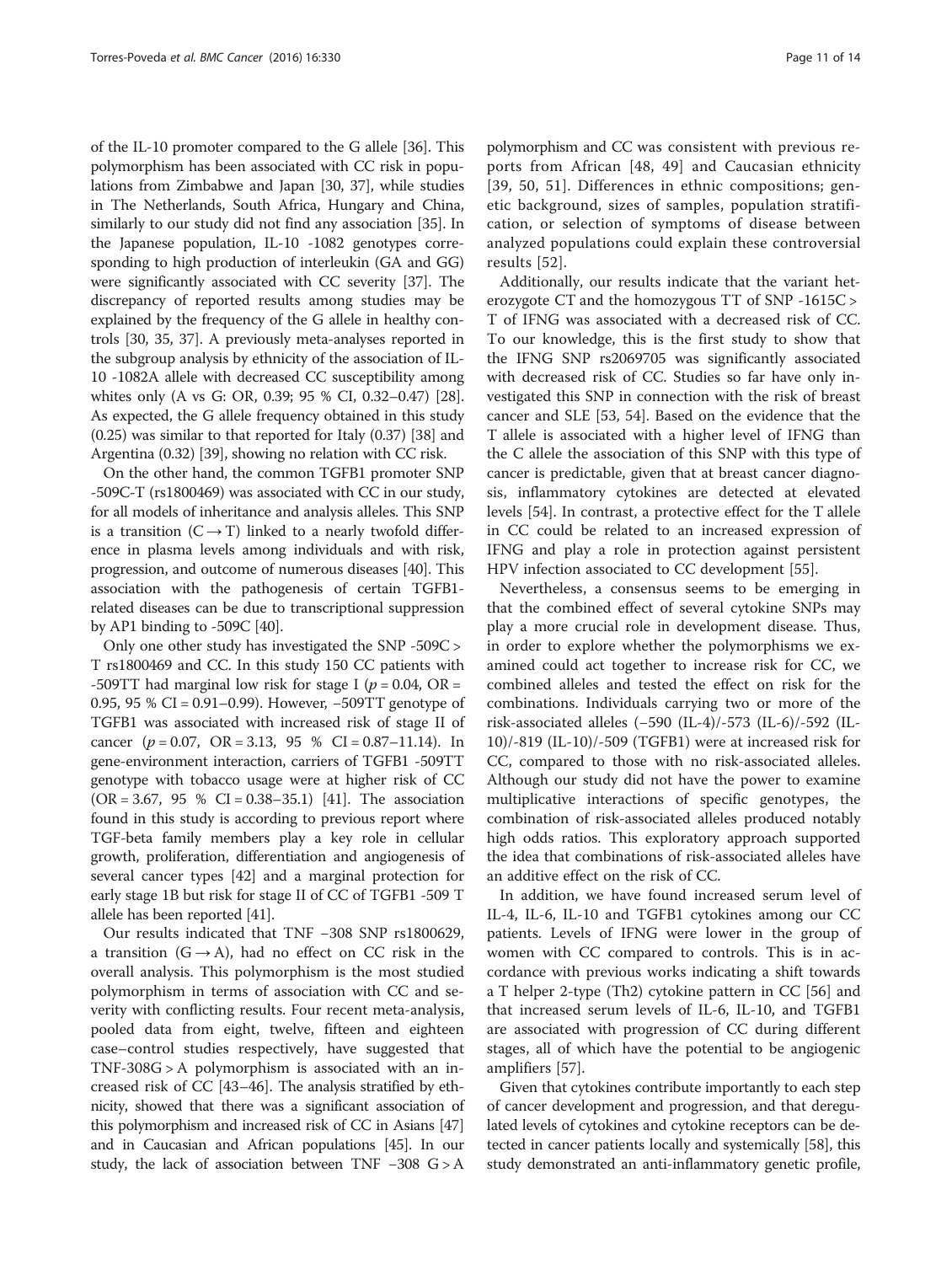of the IL-10 promoter compared to the G allele [[36\]](#page-12-0). This polymorphism has been associated with CC risk in populations from Zimbabwe and Japan [[30](#page-12-0), [37\]](#page-12-0), while studies in The Netherlands, South Africa, Hungary and China, similarly to our study did not find any association [\[35\]](#page-12-0). In the Japanese population, IL-10 -1082 genotypes corresponding to high production of interleukin (GA and GG) were significantly associated with CC severity [\[37\]](#page-12-0). The discrepancy of reported results among studies may be explained by the frequency of the G allele in healthy controls [\[30, 35](#page-12-0), [37\]](#page-12-0). A previously meta-analyses reported in the subgroup analysis by ethnicity of the association of IL-10 -1082A allele with decreased CC susceptibility among whites only (A vs G: OR, 0.39; 95 % CI, 0.32–0.47) [[28](#page-12-0)]. As expected, the G allele frequency obtained in this study (0.25) was similar to that reported for Italy (0.37) [\[38\]](#page-12-0) and Argentina (0.32) [[39](#page-13-0)], showing no relation with CC risk.

On the other hand, the common TGFB1 promoter SNP -509C-T (rs1800469) was associated with CC in our study, for all models of inheritance and analysis alleles. This SNP is a transition  $(C \rightarrow T)$  linked to a nearly twofold difference in plasma levels among individuals and with risk, progression, and outcome of numerous diseases [\[40\]](#page-13-0). This association with the pathogenesis of certain TGFB1 related diseases can be due to transcriptional suppression by AP1 binding to -509C [\[40](#page-13-0)].

Only one other study has investigated the SNP -509C > T rs1800469 and CC. In this study 150 CC patients with -509TT had marginal low risk for stage I ( $p = 0.04$ , OR = 0.95, 95 % CI = 0.91–0.99). However, −509TT genotype of TGFB1 was associated with increased risk of stage II of cancer  $(p = 0.07, \text{ OR } = 3.13, 95 \% \text{ CI } = 0.87 - 11.14)$ . In gene-environment interaction, carriers of TGFB1 -509TT genotype with tobacco usage were at higher risk of CC  $(OR = 3.67, 95 % CI = 0.38–35.1) [41]$  $(OR = 3.67, 95 % CI = 0.38–35.1) [41]$  $(OR = 3.67, 95 % CI = 0.38–35.1) [41]$ . The association found in this study is according to previous report where TGF-beta family members play a key role in cellular growth, proliferation, differentiation and angiogenesis of several cancer types [[42](#page-13-0)] and a marginal protection for early stage 1B but risk for stage II of CC of TGFB1 -509 T allele has been reported [\[41\]](#page-13-0).

Our results indicated that TNF −308 SNP rs1800629, a transition  $(G \rightarrow A)$ , had no effect on CC risk in the overall analysis. This polymorphism is the most studied polymorphism in terms of association with CC and severity with conflicting results. Four recent meta-analysis, pooled data from eight, twelve, fifteen and eighteen case–control studies respectively, have suggested that TNF-308G > A polymorphism is associated with an increased risk of CC [[43](#page-13-0)–[46](#page-13-0)]. The analysis stratified by ethnicity, showed that there was a significant association of this polymorphism and increased risk of CC in Asians [\[47](#page-13-0)] and in Caucasian and African populations [\[45\]](#page-13-0). In our study, the lack of association between TNF −308 G > A

polymorphism and CC was consistent with previous reports from African [[48](#page-13-0), [49\]](#page-13-0) and Caucasian ethnicity [[39](#page-13-0), [50, 51\]](#page-13-0). Differences in ethnic compositions; genetic background, sizes of samples, population stratification, or selection of symptoms of disease between analyzed populations could explain these controversial results [[52](#page-13-0)].

Additionally, our results indicate that the variant heterozygote CT and the homozygous TT of SNP -1615C > T of IFNG was associated with a decreased risk of CC. To our knowledge, this is the first study to show that the IFNG SNP rs2069705 was significantly associated with decreased risk of CC. Studies so far have only investigated this SNP in connection with the risk of breast cancer and SLE [[53, 54](#page-13-0)]. Based on the evidence that the T allele is associated with a higher level of IFNG than the C allele the association of this SNP with this type of cancer is predictable, given that at breast cancer diagnosis, inflammatory cytokines are detected at elevated levels [\[54](#page-13-0)]. In contrast, a protective effect for the T allele in CC could be related to an increased expression of IFNG and play a role in protection against persistent HPV infection associated to CC development [\[55\]](#page-13-0).

Nevertheless, a consensus seems to be emerging in that the combined effect of several cytokine SNPs may play a more crucial role in development disease. Thus, in order to explore whether the polymorphisms we examined could act together to increase risk for CC, we combined alleles and tested the effect on risk for the combinations. Individuals carrying two or more of the risk-associated alleles (−590 (IL-4)/-573 (IL-6)/-592 (IL-10)/-819 (IL-10)/-509 (TGFB1) were at increased risk for CC, compared to those with no risk-associated alleles. Although our study did not have the power to examine multiplicative interactions of specific genotypes, the combination of risk-associated alleles produced notably high odds ratios. This exploratory approach supported the idea that combinations of risk-associated alleles have an additive effect on the risk of CC.

In addition, we have found increased serum level of IL-4, IL-6, IL-10 and TGFB1 cytokines among our CC patients. Levels of IFNG were lower in the group of women with CC compared to controls. This is in accordance with previous works indicating a shift towards a T helper 2-type (Th2) cytokine pattern in CC [\[56](#page-13-0)] and that increased serum levels of IL-6, IL-10, and TGFB1 are associated with progression of CC during different stages, all of which have the potential to be angiogenic amplifiers [\[57\]](#page-13-0).

Given that cytokines contribute importantly to each step of cancer development and progression, and that deregulated levels of cytokines and cytokine receptors can be detected in cancer patients locally and systemically [\[58\]](#page-13-0), this study demonstrated an anti-inflammatory genetic profile,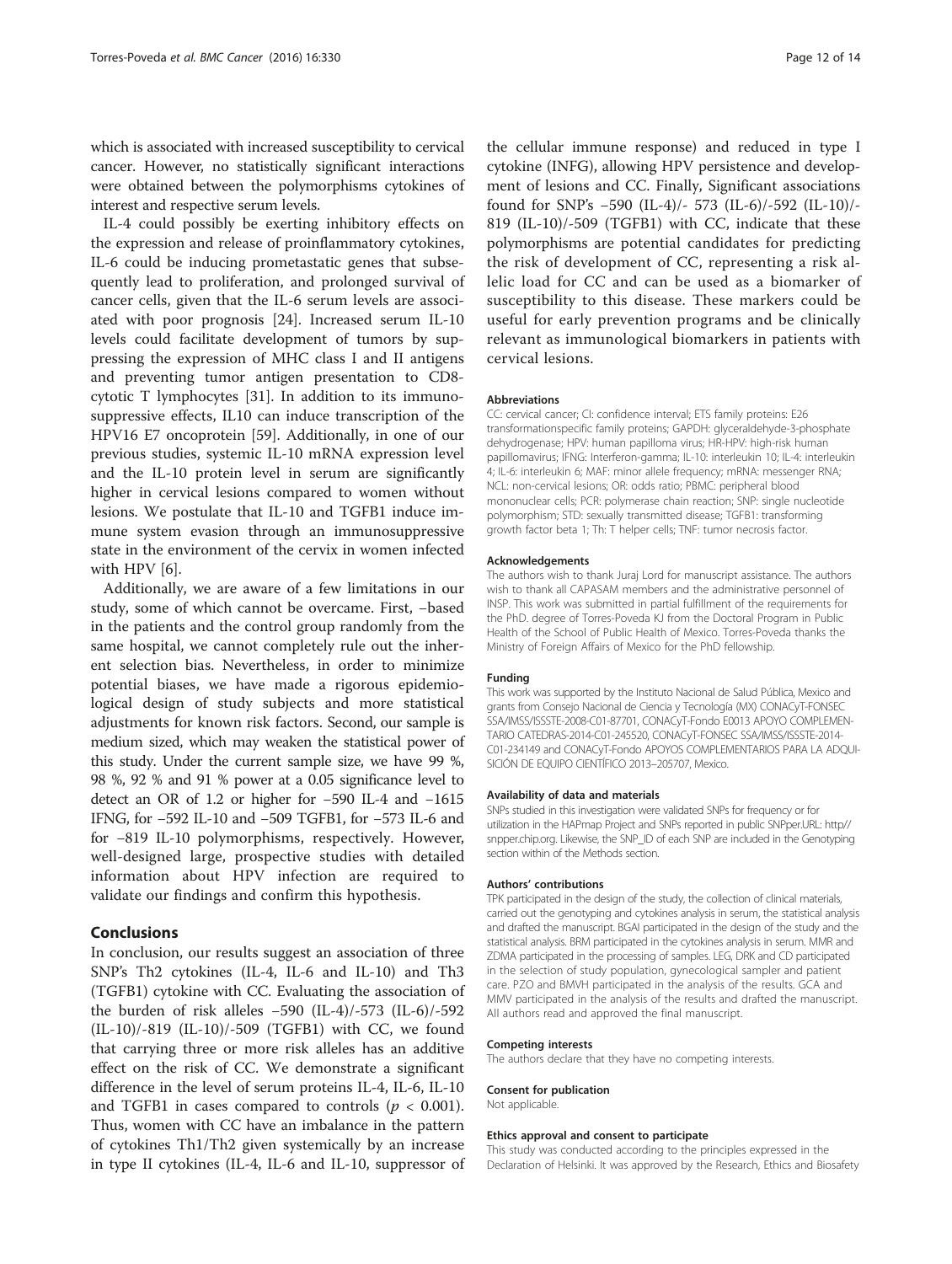which is associated with increased susceptibility to cervical cancer. However, no statistically significant interactions were obtained between the polymorphisms cytokines of interest and respective serum levels.

IL-4 could possibly be exerting inhibitory effects on the expression and release of proinflammatory cytokines, IL-6 could be inducing prometastatic genes that subsequently lead to proliferation, and prolonged survival of cancer cells, given that the IL-6 serum levels are associated with poor prognosis [[24](#page-12-0)]. Increased serum IL-10 levels could facilitate development of tumors by suppressing the expression of MHC class I and II antigens and preventing tumor antigen presentation to CD8 cytotic T lymphocytes [\[31](#page-12-0)]. In addition to its immunosuppressive effects, IL10 can induce transcription of the HPV16 E7 oncoprotein [\[59](#page-13-0)]. Additionally, in one of our previous studies, systemic IL-10 mRNA expression level and the IL-10 protein level in serum are significantly higher in cervical lesions compared to women without lesions. We postulate that IL-10 and TGFB1 induce immune system evasion through an immunosuppressive state in the environment of the cervix in women infected with HPV [[6\]](#page-12-0).

Additionally, we are aware of a few limitations in our study, some of which cannot be overcame. First, −based in the patients and the control group randomly from the same hospital, we cannot completely rule out the inherent selection bias. Nevertheless, in order to minimize potential biases, we have made a rigorous epidemiological design of study subjects and more statistical adjustments for known risk factors. Second, our sample is medium sized, which may weaken the statistical power of this study. Under the current sample size, we have 99 %, 98 %, 92 % and 91 % power at a 0.05 significance level to detect an OR of 1.2 or higher for −590 IL-4 and −1615 IFNG, for −592 IL-10 and −509 TGFB1, for −573 IL-6 and for −819 IL-10 polymorphisms, respectively. However, well-designed large, prospective studies with detailed information about HPV infection are required to validate our findings and confirm this hypothesis.

## Conclusions

In conclusion, our results suggest an association of three SNP's Th2 cytokines (IL-4, IL-6 and IL-10) and Th3 (TGFB1) cytokine with CC. Evaluating the association of the burden of risk alleles −590 (IL-4)/-573 (IL-6)/-592 (IL-10)/-819 (IL-10)/-509 (TGFB1) with CC, we found that carrying three or more risk alleles has an additive effect on the risk of CC. We demonstrate a significant difference in the level of serum proteins IL-4, IL-6, IL-10 and TGFB1 in cases compared to controls ( $p < 0.001$ ). Thus, women with CC have an imbalance in the pattern of cytokines Th1/Th2 given systemically by an increase in type II cytokines (IL-4, IL-6 and IL-10, suppressor of

the cellular immune response) and reduced in type I cytokine (INFG), allowing HPV persistence and development of lesions and CC. Finally, Significant associations found for SNP's −590 (IL-4)/- 573 (IL-6)/-592 (IL-10)/- 819 (IL-10)/-509 (TGFB1) with CC, indicate that these polymorphisms are potential candidates for predicting the risk of development of CC, representing a risk allelic load for CC and can be used as a biomarker of susceptibility to this disease. These markers could be useful for early prevention programs and be clinically relevant as immunological biomarkers in patients with cervical lesions.

#### Abbreviations

CC: cervical cancer; CI: confidence interval; ETS family proteins: E26 transformationspecific family proteins; GAPDH: glyceraldehyde-3-phosphate dehydrogenase; HPV: human papilloma virus; HR-HPV: high-risk human papillomavirus; IFNG: Interferon-gamma; IL-10: interleukin 10; IL-4: interleukin 4; IL-6: interleukin 6; MAF: minor allele frequency; mRNA: messenger RNA; NCL: non-cervical lesions; OR: odds ratio; PBMC: peripheral blood mononuclear cells; PCR: polymerase chain reaction; SNP: single nucleotide polymorphism; STD: sexually transmitted disease; TGFB1: transforming growth factor beta 1; Th: T helper cells; TNF: tumor necrosis factor.

#### Acknowledgements

The authors wish to thank Juraj Lord for manuscript assistance. The authors wish to thank all CAPASAM members and the administrative personnel of INSP. This work was submitted in partial fulfillment of the requirements for the PhD. degree of Torres-Poveda KJ from the Doctoral Program in Public Health of the School of Public Health of Mexico. Torres-Poveda thanks the Ministry of Foreign Affairs of Mexico for the PhD fellowship.

#### Funding

This work was supported by the Instituto Nacional de Salud Pública, Mexico and grants from Consejo Nacional de Ciencia y Tecnología (MX) CONACyT-FONSEC SSA/IMSS/ISSSTE-2008-C01-87701, CONACyT-Fondo E0013 APOYO COMPLEMEN-TARIO CATEDRAS-2014-C01-245520, CONACyT-FONSEC SSA/IMSS/ISSSTE-2014- C01-234149 and CONACyT-Fondo APOYOS COMPLEMENTARIOS PARA LA ADQUI-SICIÓN DE EQUIPO CIENTÍFICO 2013–205707, Mexico.

#### Availability of data and materials

SNPs studied in this investigation were validated SNPs for frequency or for utilization in the HAPmap Project and SNPs reported in public SNPper.URL: [http//](http://snpper.chip.org) [snpper.chip.org.](http://snpper.chip.org) Likewise, the SNP\_ID of each SNP are included in the Genotyping section within of the Methods section.

#### Authors' contributions

TPK participated in the design of the study, the collection of clinical materials, carried out the genotyping and cytokines analysis in serum, the statistical analysis and drafted the manuscript. BGAI participated in the design of the study and the statistical analysis. BRM participated in the cytokines analysis in serum. MMR and ZDMA participated in the processing of samples. LEG, DRK and CD participated in the selection of study population, gynecological sampler and patient care. PZO and BMVH participated in the analysis of the results. GCA and MMV participated in the analysis of the results and drafted the manuscript. All authors read and approved the final manuscript.

#### Competing interests

The authors declare that they have no competing interests.

#### Consent for publication

Not applicable.

#### Ethics approval and consent to participate

This study was conducted according to the principles expressed in the Declaration of Helsinki. It was approved by the Research, Ethics and Biosafety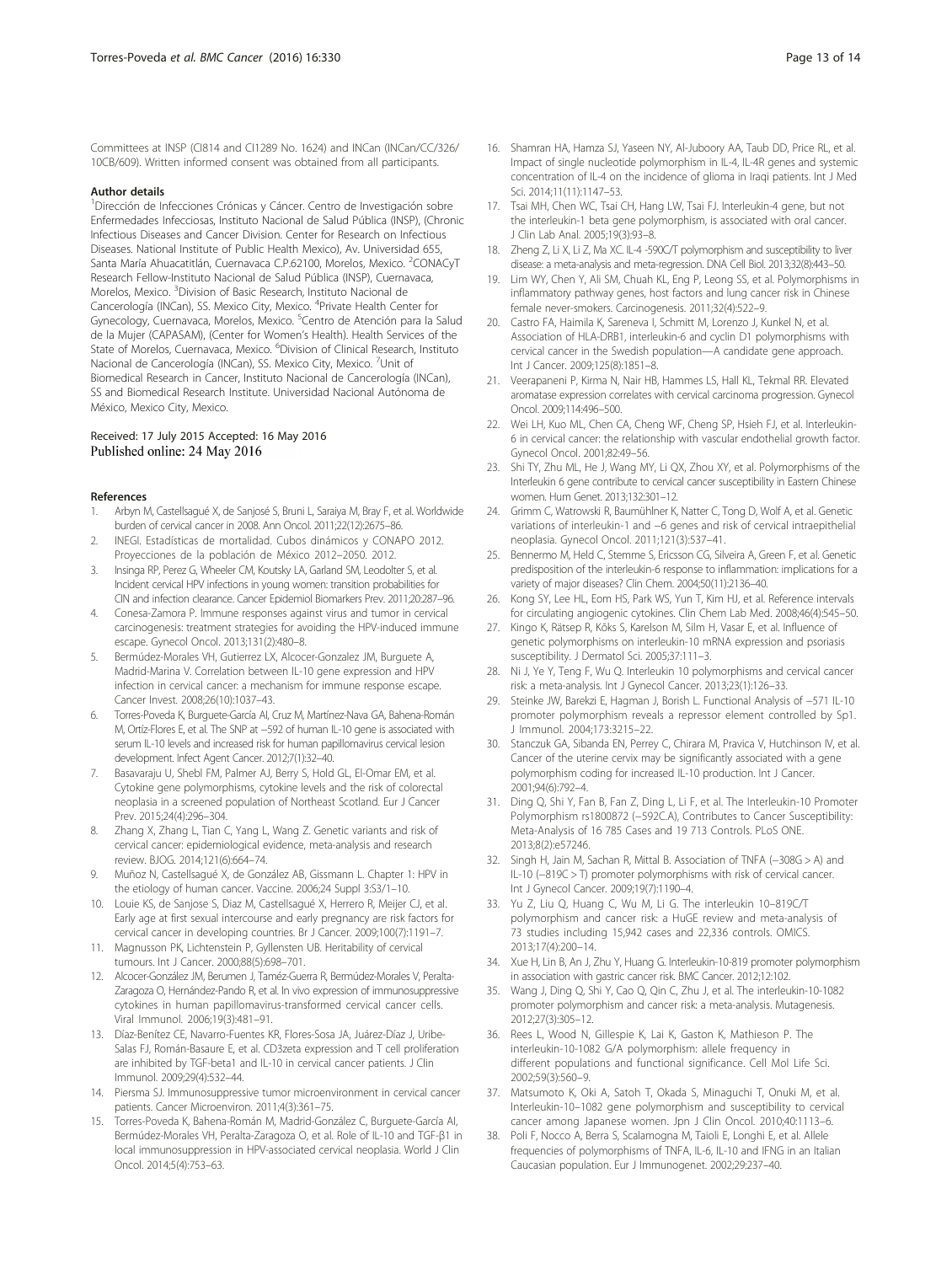<span id="page-12-0"></span>Committees at INSP (CI814 and CI1289 No. 1624) and INCan (INCan/CC/326/ 10CB/609). Written informed consent was obtained from all participants.

#### Author details

<sup>1</sup>Dirección de Infecciones Crónicas y Cáncer. Centro de Investigación sobre Enfermedades Infecciosas, Instituto Nacional de Salud Pública (INSP), (Chronic Infectious Diseases and Cancer Division. Center for Research on Infectious Diseases. National Institute of Public Health Mexico), Av. Universidad 655, Santa María Ahuacatitlán, Cuernavaca C.P.62100, Morelos, Mexico. <sup>2</sup>CONACyT Research Fellow-Instituto Nacional de Salud Pública (INSP), Cuernavaca, Morelos, Mexico. <sup>3</sup>Division of Basic Research, Instituto Nacional de Cancerología (INCan), SS. Mexico City, Mexico. <sup>4</sup>Private Health Center for Gynecology, Cuernavaca, Morelos, Mexico. <sup>5</sup>Centro de Atención para la Salud de la Mujer (CAPASAM), (Center for Women's Health). Health Services of the State of Morelos, Cuernavaca, Mexico. <sup>6</sup>Division of Clinical Research, Instituto Nacional de Cancerología (INCan), SS. Mexico City, Mexico. <sup>7</sup>Unit of Biomedical Research in Cancer, Instituto Nacional de Cancerología (INCan), SS and Biomedical Research Institute. Universidad Nacional Autónoma de México, Mexico City, Mexico.

#### Received: 17 July 2015 Accepted: 16 May 2016 Published online: 24 May 2016

#### References

- 1. Arbyn M, Castellsagué X, de Sanjosé S, Bruni L, Saraiya M, Bray F, et al. Worldwide burden of cervical cancer in 2008. Ann Oncol. 2011;22(12):2675–86.
- 2. INEGI. Estadísticas de mortalidad. Cubos dinámicos y CONAPO 2012. Proyecciones de la población de México 2012–2050. 2012.
- 3. Insinga RP, Perez G, Wheeler CM, Koutsky LA, Garland SM, Leodolter S, et al. Incident cervical HPV infections in young women: transition probabilities for CIN and infection clearance. Cancer Epidemiol Biomarkers Prev. 2011;20:287–96.
- 4. Conesa-Zamora P. Immune responses against virus and tumor in cervical carcinogenesis: treatment strategies for avoiding the HPV-induced immune escape. Gynecol Oncol. 2013;131(2):480–8.
- 5. Bermúdez-Morales VH, Gutierrez LX, Alcocer-Gonzalez JM, Burguete A, Madrid-Marina V. Correlation between IL-10 gene expression and HPV infection in cervical cancer: a mechanism for immune response escape. Cancer Invest. 2008;26(10):1037–43.
- 6. Torres-Poveda K, Burguete-García AI, Cruz M, Martínez-Nava GA, Bahena-Román M, Ortíz-Flores E, et al. The SNP at −592 of human IL-10 gene is associated with serum IL-10 levels and increased risk for human papillomavirus cervical lesion development. Infect Agent Cancer. 2012;7(1):32–40.
- 7. Basavaraju U, Shebl FM, Palmer AJ, Berry S, Hold GL, El-Omar EM, et al. Cytokine gene polymorphisms, cytokine levels and the risk of colorectal neoplasia in a screened population of Northeast Scotland. Eur J Cancer Prev. 2015;24(4):296–304.
- 8. Zhang X, Zhang L, Tian C, Yang L, Wang Z. Genetic variants and risk of cervical cancer: epidemiological evidence, meta-analysis and research review. BJOG. 2014;121(6):664–74.
- 9. Muñoz N, Castellsagué X, de González AB, Gissmann L. Chapter 1: HPV in the etiology of human cancer. Vaccine. 2006;24 Suppl 3:S3/1–10.
- 10. Louie KS, de Sanjose S, Diaz M, Castellsagué X, Herrero R, Meijer CJ, et al. Early age at first sexual intercourse and early pregnancy are risk factors for cervical cancer in developing countries. Br J Cancer. 2009;100(7):1191–7.
- 11. Magnusson PK, Lichtenstein P, Gyllensten UB. Heritability of cervical tumours. Int J Cancer. 2000;88(5):698–701.
- 12. Alcocer-González JM, Berumen J, Taméz-Guerra R, Bermúdez-Morales V, Peralta-Zaragoza O, Hernández-Pando R, et al. In vivo expression of immunosuppressive cytokines in human papillomavirus-transformed cervical cancer cells. Viral Immunol. 2006;19(3):481–91.
- 13. Díaz-Benítez CE, Navarro-Fuentes KR, Flores-Sosa JA, Juárez-Díaz J, Uribe-Salas FJ, Román-Basaure E, et al. CD3zeta expression and T cell proliferation are inhibited by TGF-beta1 and IL-10 in cervical cancer patients. J Clin Immunol. 2009;29(4):532–44.
- 14. Piersma SJ. Immunosuppressive tumor microenvironment in cervical cancer patients. Cancer Microenviron. 2011;4(3):361–75.
- 15. Torres-Poveda K, Bahena-Román M, Madrid-González C, Burguete-García AI, Bermúdez-Morales VH, Peralta-Zaragoza O, et al. Role of IL-10 and TGF-β1 in local immunosuppression in HPV-associated cervical neoplasia. World J Clin Oncol. 2014;5(4):753–63.
- 16. Shamran HA, Hamza SJ, Yaseen NY, Al-Juboory AA, Taub DD, Price RL, et al. Impact of single nucleotide polymorphism in IL-4, IL-4R genes and systemic concentration of IL-4 on the incidence of glioma in Iraqi patients. Int J Med Sci. 2014;11(11):1147–53.
- 17. Tsai MH, Chen WC, Tsai CH, Hang LW, Tsai FJ. Interleukin-4 gene, but not the interleukin-1 beta gene polymorphism, is associated with oral cancer. J Clin Lab Anal. 2005;19(3):93–8.
- 18. Zheng Z, Li X, Li Z, Ma XC. IL-4 -590C/T polymorphism and susceptibility to liver disease: a meta-analysis and meta-regression. DNA Cell Biol. 2013;32(8):443–50.
- 19. Lim WY, Chen Y, Ali SM, Chuah KL, Eng P, Leong SS, et al. Polymorphisms in inflammatory pathway genes, host factors and lung cancer risk in Chinese female never-smokers. Carcinogenesis. 2011;32(4):522–9.
- 20. Castro FA, Haimila K, Sareneva I, Schmitt M, Lorenzo J, Kunkel N, et al. Association of HLA-DRB1, interleukin-6 and cyclin D1 polymorphisms with cervical cancer in the Swedish population—A candidate gene approach. Int J Cancer. 2009;125(8):1851–8.
- 21. Veerapaneni P, Kirma N, Nair HB, Hammes LS, Hall KL, Tekmal RR. Elevated aromatase expression correlates with cervical carcinoma progression. Gynecol Oncol. 2009;114:496–500.
- 22. Wei LH, Kuo ML, Chen CA, Cheng WF, Cheng SP, Hsieh FJ, et al. Interleukin-6 in cervical cancer: the relationship with vascular endothelial growth factor. Gynecol Oncol. 2001;82:49–56.
- 23. Shi TY, Zhu ML, He J, Wang MY, Li QX, Zhou XY, et al. Polymorphisms of the Interleukin 6 gene contribute to cervical cancer susceptibility in Eastern Chinese women. Hum Genet. 2013;132:301–12.
- 24. Grimm C, Watrowski R, Baumühlner K, Natter C, Tong D, Wolf A, et al. Genetic variations of interleukin-1 and −6 genes and risk of cervical intraepithelial neoplasia. Gynecol Oncol. 2011;121(3):537–41.
- 25. Bennermo M, Held C, Stemme S, Ericsson CG, Silveira A, Green F, et al. Genetic predisposition of the interleukin-6 response to inflammation: implications for a variety of major diseases? Clin Chem. 2004;50(11):2136–40.
- 26. Kong SY, Lee HL, Eom HS, Park WS, Yun T, Kim HJ, et al. Reference intervals for circulating angiogenic cytokines. Clin Chem Lab Med. 2008;46(4):545–50.
- 27. Kingo K, Rätsep R, Kõks S, Karelson M, Silm H, Vasar E, et al. Influence of genetic polymorphisms on interleukin-10 mRNA expression and psoriasis susceptibility. J Dermatol Sci. 2005;37:111–3.
- 28. Ni J, Ye Y, Teng F, Wu Q. Interleukin 10 polymorphisms and cervical cancer risk: a meta-analysis. Int J Gynecol Cancer. 2013;23(1):126–33.
- 29. Steinke JW, Barekzi E, Hagman J, Borish L. Functional Analysis of −571 IL-10 promoter polymorphism reveals a repressor element controlled by Sp1. J Immunol. 2004;173:3215–22.
- 30. Stanczuk GA, Sibanda EN, Perrey C, Chirara M, Pravica V, Hutchinson IV, et al. Cancer of the uterine cervix may be significantly associated with a gene polymorphism coding for increased IL-10 production. Int J Cancer. 2001;94(6):792–4.
- 31. Ding Q, Shi Y, Fan B, Fan Z, Ding L, Li F, et al. The Interleukin-10 Promoter Polymorphism rs1800872 (−592C.A), Contributes to Cancer Susceptibility: Meta-Analysis of 16 785 Cases and 19 713 Controls. PLoS ONE. 2013;8(2):e57246.
- 32. Singh H, Jain M, Sachan R, Mittal B. Association of TNFA (−308G > A) and IL-10 (−819C > T) promoter polymorphisms with risk of cervical cancer. Int J Gynecol Cancer. 2009;19(7):1190–4.
- 33. Yu Z, Liu Q, Huang C, Wu M, Li G. The interleukin 10–819C/T polymorphism and cancer risk: a HuGE review and meta-analysis of 73 studies including 15,942 cases and 22,336 controls. OMICS. 2013;17(4):200–14.
- 34. Xue H, Lin B, An J, Zhu Y, Huang G. Interleukin-10-819 promoter polymorphism in association with gastric cancer risk. BMC Cancer. 2012;12:102.
- 35. Wang J, Ding Q, Shi Y, Cao Q, Qin C, Zhu J, et al. The interleukin-10-1082 promoter polymorphism and cancer risk: a meta-analysis. Mutagenesis. 2012;27(3):305–12.
- 36. Rees L, Wood N, Gillespie K, Lai K, Gaston K, Mathieson P. The interleukin-10-1082 G/A polymorphism: allele frequency in different populations and functional significance. Cell Mol Life Sci. 2002;59(3):560–9.
- 37. Matsumoto K, Oki A, Satoh T, Okada S, Minaguchi T, Onuki M, et al. Interleukin-10–1082 gene polymorphism and susceptibility to cervical cancer among Japanese women. Jpn J Clin Oncol. 2010;40:1113–6.
- 38. Poli F, Nocco A, Berra S, Scalamogna M, Taioli E, Longhi E, et al. Allele frequencies of polymorphisms of TNFA, IL-6, IL-10 and IFNG in an Italian Caucasian population. Eur J Immunogenet. 2002;29:237–40.